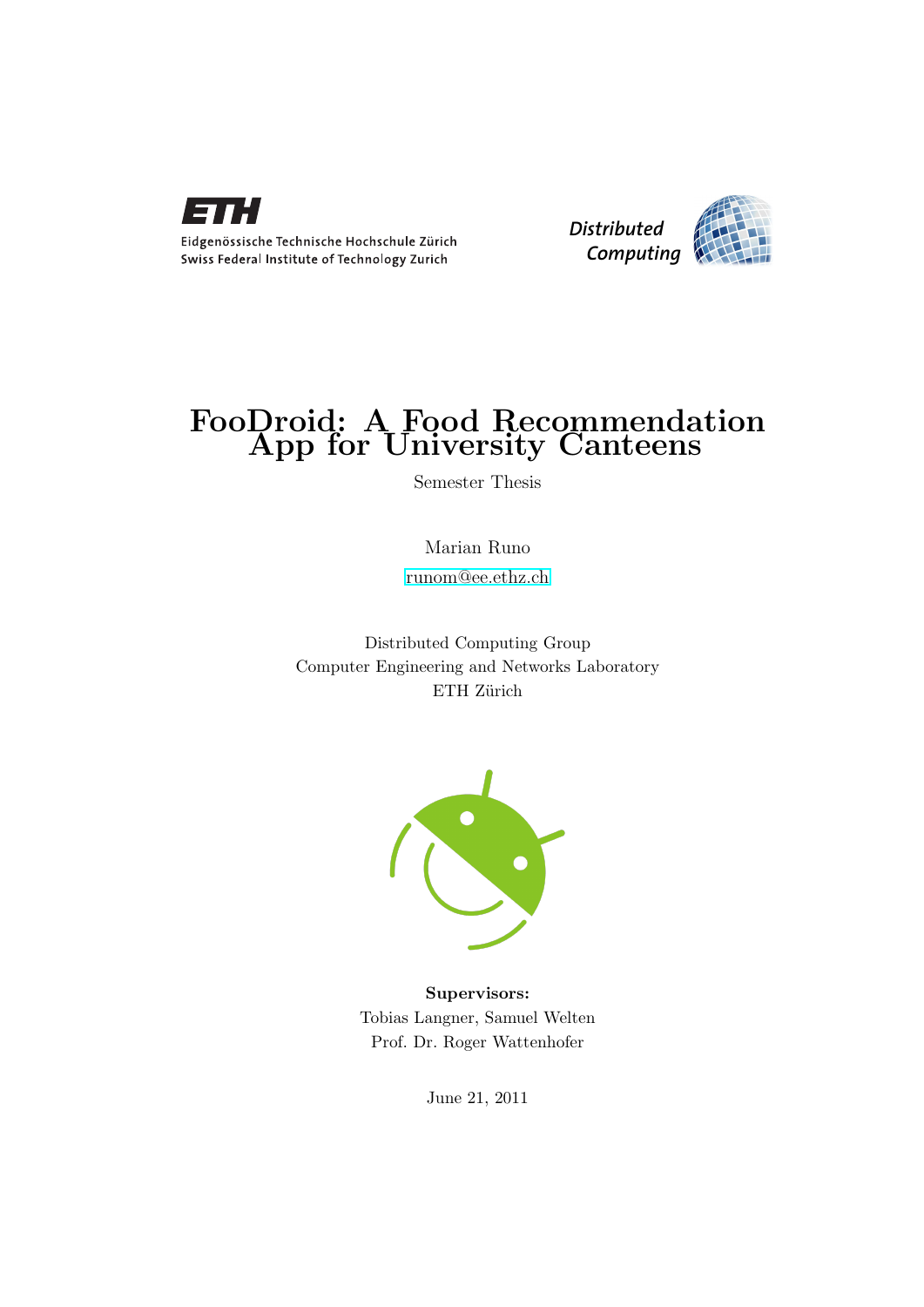



## FooDroid: A Food Recommendation App for University Canteens

Semester Thesis

Marian Runo [runom@ee.ethz.ch](mailto:Marian Runo<runom@ee.ethz.ch>)

Distributed Computing Group Computer Engineering and Networks Laboratory ETH Zürich



Supervisors: Tobias Langner, Samuel Welten Prof. Dr. Roger Wattenhofer

June 21, 2011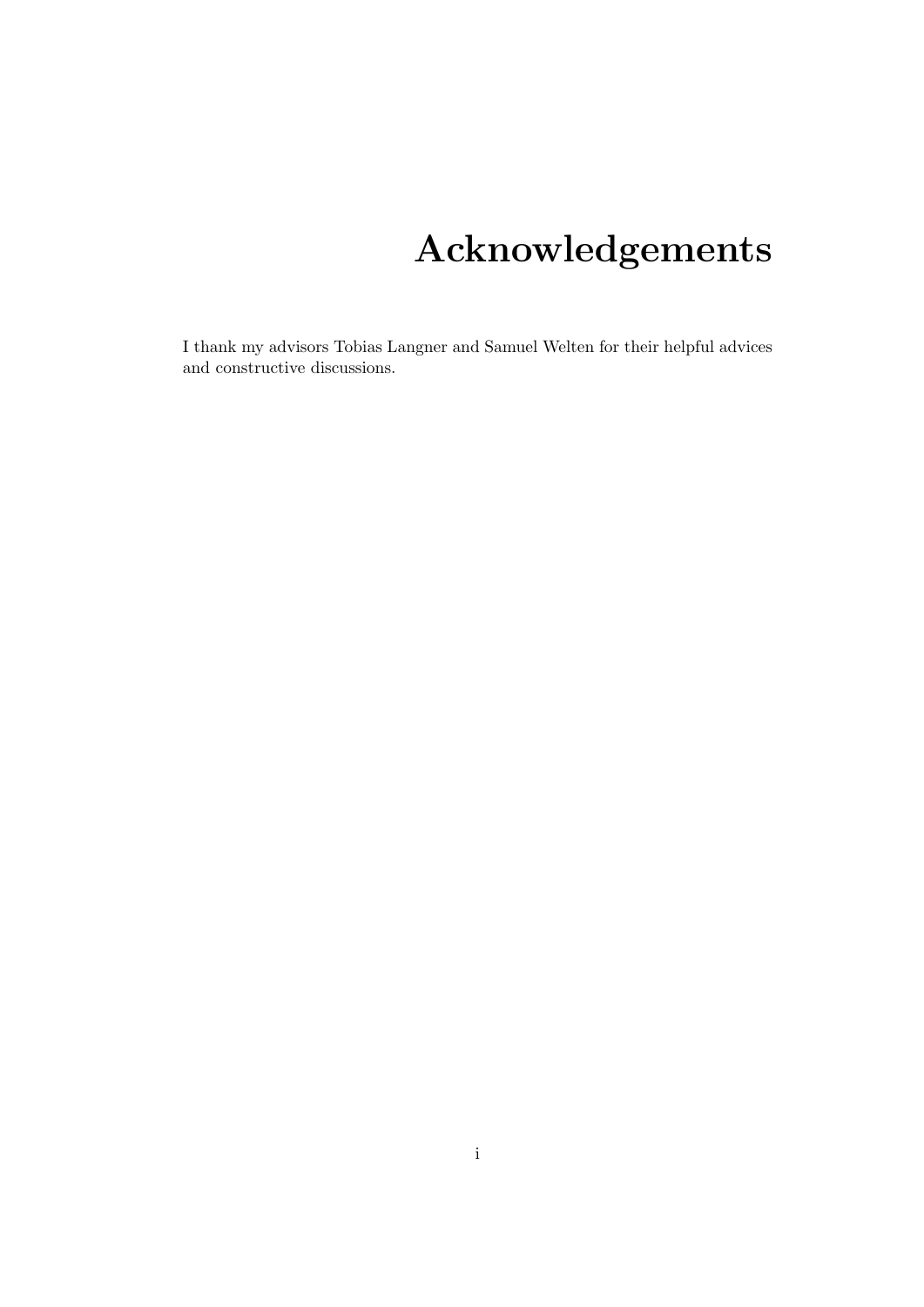# Acknowledgements

<span id="page-1-0"></span>I thank my advisors Tobias Langner and Samuel Welten for their helpful advices and constructive discussions.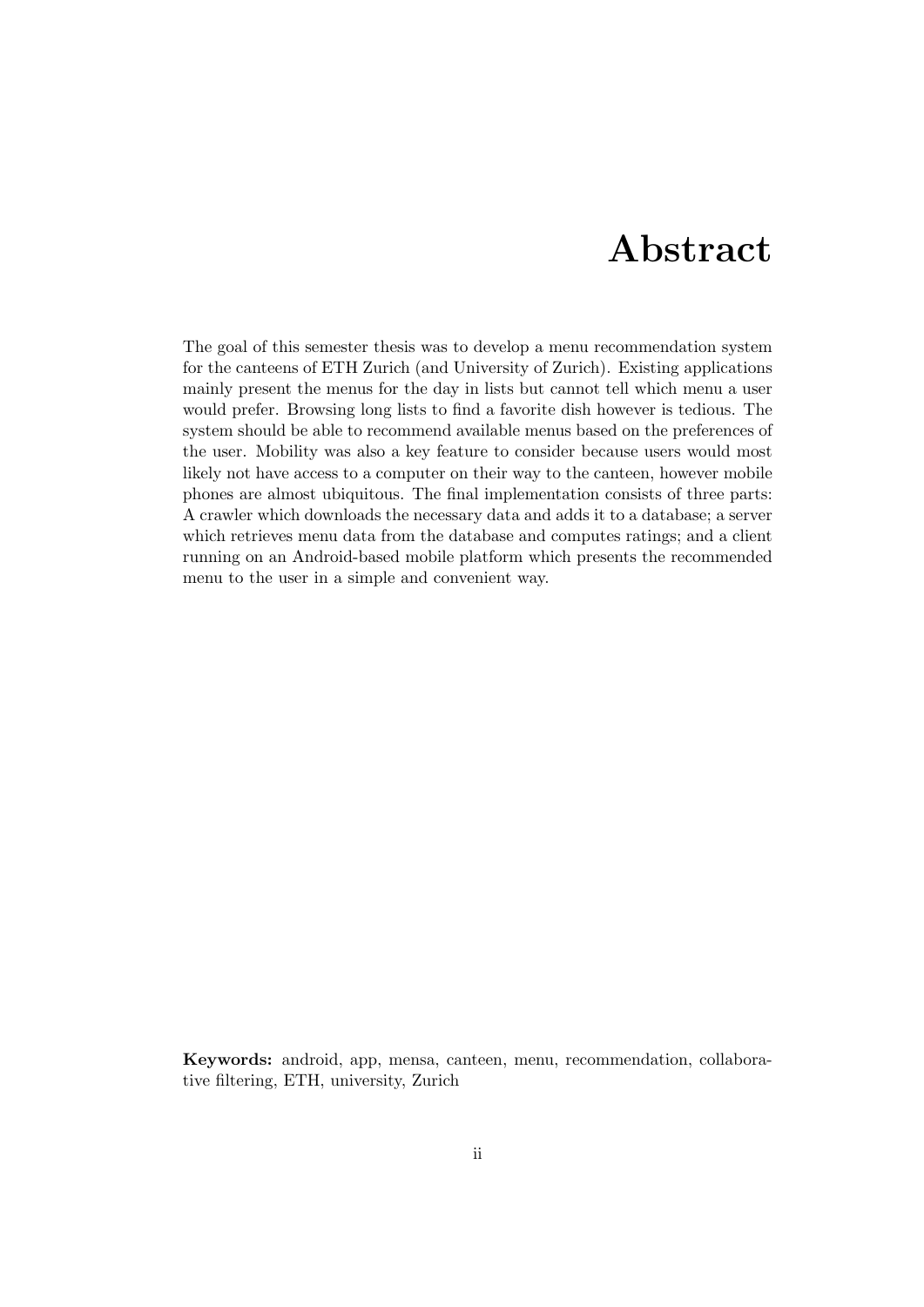## Abstract

<span id="page-2-0"></span>The goal of this semester thesis was to develop a menu recommendation system for the canteens of ETH Zurich (and University of Zurich). Existing applications mainly present the menus for the day in lists but cannot tell which menu a user would prefer. Browsing long lists to find a favorite dish however is tedious. The system should be able to recommend available menus based on the preferences of the user. Mobility was also a key feature to consider because users would most likely not have access to a computer on their way to the canteen, however mobile phones are almost ubiquitous. The final implementation consists of three parts: A crawler which downloads the necessary data and adds it to a database; a server which retrieves menu data from the database and computes ratings; and a client running on an Android-based mobile platform which presents the recommended menu to the user in a simple and convenient way.

Keywords: android, app, mensa, canteen, menu, recommendation, collaborative filtering, ETH, university, Zurich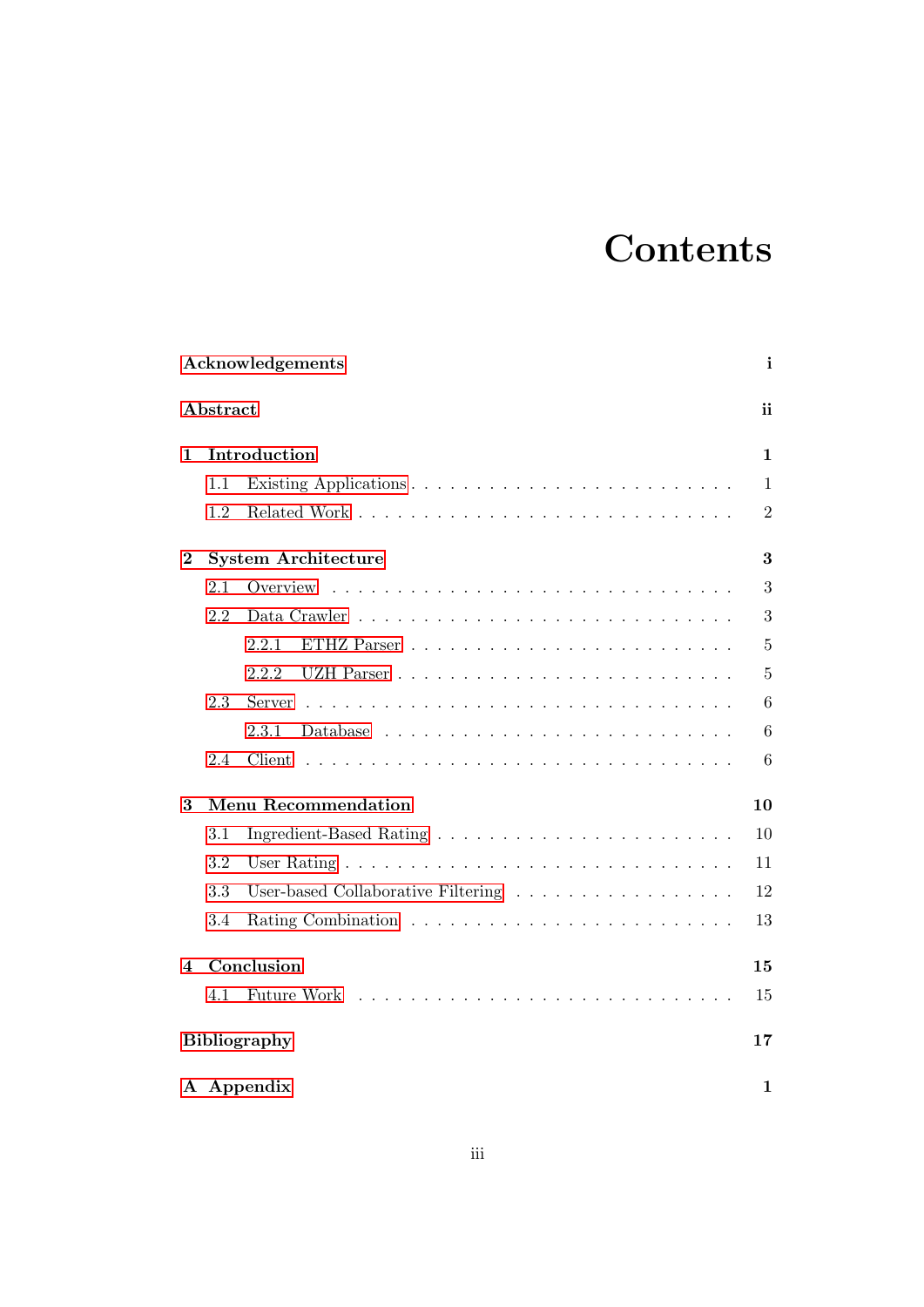# **Contents**

|          |                           | Acknowledgements<br>$\mathbf{i}$   |                  |  |  |  |
|----------|---------------------------|------------------------------------|------------------|--|--|--|
|          | Abstract                  |                                    |                  |  |  |  |
| 1.       |                           | Introduction                       | $\mathbf 1$      |  |  |  |
|          | 1.1                       |                                    | 1                |  |  |  |
|          | 1.2                       |                                    | $\overline{2}$   |  |  |  |
| $\bf{2}$ |                           | <b>System Architecture</b>         | 3                |  |  |  |
|          | 2.1                       | Overview                           | 3                |  |  |  |
|          | 2.2                       |                                    | 3                |  |  |  |
|          |                           | 2.2.1                              | 5                |  |  |  |
|          |                           | 2.2.2                              | 5                |  |  |  |
|          | 2.3                       | Server                             | 6                |  |  |  |
|          |                           | 2.3.1                              | $\boldsymbol{6}$ |  |  |  |
|          | 2.4                       | Client                             | 6                |  |  |  |
| 3        |                           | <b>Menu Recommendation</b>         | 10               |  |  |  |
|          | 3.1                       |                                    | 10               |  |  |  |
|          | 3.2                       |                                    | 11               |  |  |  |
|          | 3.3                       | User-based Collaborative Filtering | 12               |  |  |  |
|          | 3.4                       |                                    | 13               |  |  |  |
| 4        |                           | Conclusion                         | 15               |  |  |  |
|          | 4.1                       | <b>Future Work</b>                 | 15               |  |  |  |
|          |                           | <b>Bibliography</b>                | 17               |  |  |  |
|          | A Appendix<br>$\mathbf 1$ |                                    |                  |  |  |  |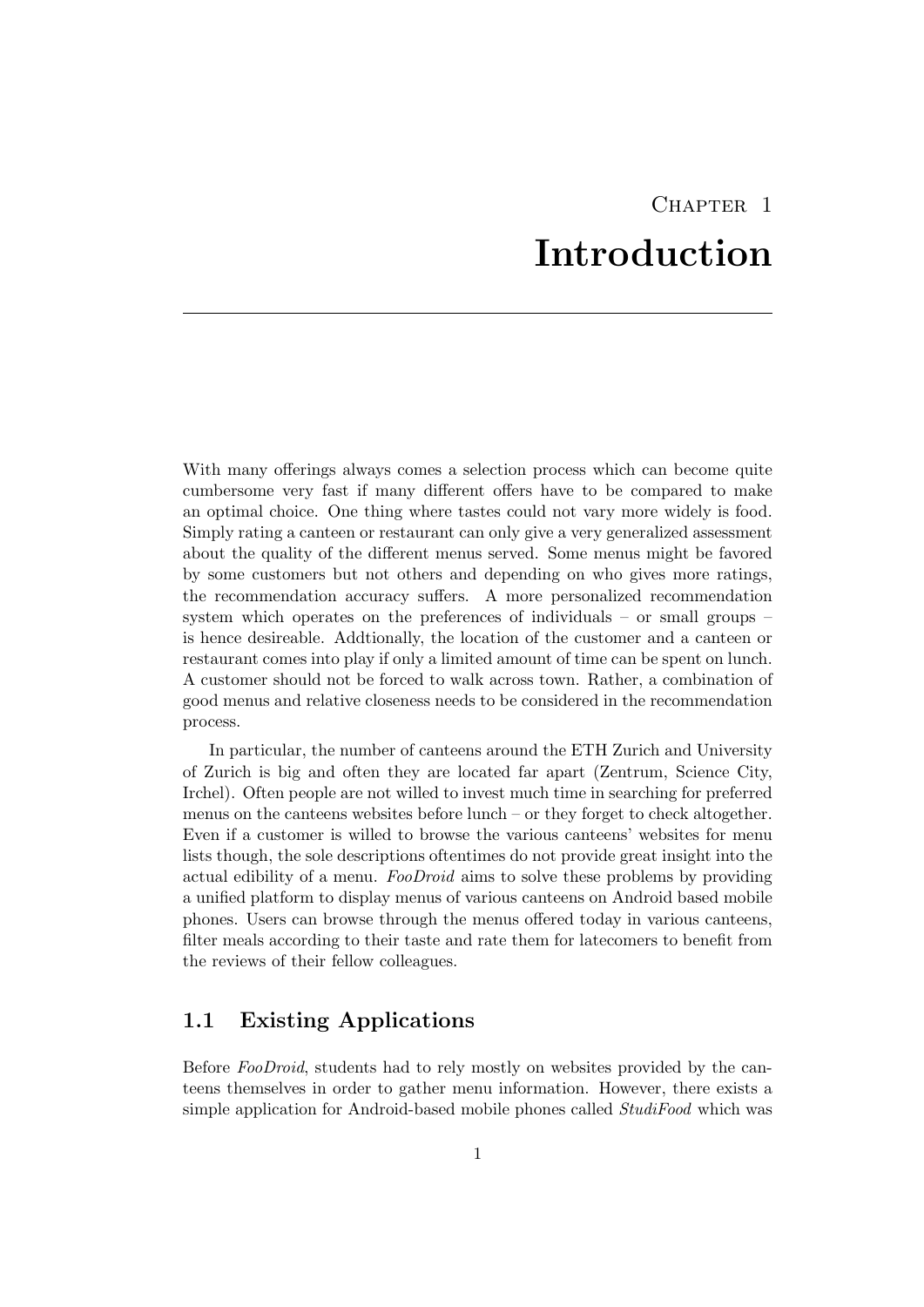## CHAPTER<sub>1</sub> Introduction

<span id="page-4-0"></span>With many offerings always comes a selection process which can become quite cumbersome very fast if many different offers have to be compared to make an optimal choice. One thing where tastes could not vary more widely is food. Simply rating a canteen or restaurant can only give a very generalized assessment about the quality of the different menus served. Some menus might be favored by some customers but not others and depending on who gives more ratings, the recommendation accuracy suffers. A more personalized recommendation system which operates on the preferences of individuals – or small groups – is hence desireable. Addtionally, the location of the customer and a canteen or restaurant comes into play if only a limited amount of time can be spent on lunch. A customer should not be forced to walk across town. Rather, a combination of good menus and relative closeness needs to be considered in the recommendation process.

In particular, the number of canteens around the ETH Zurich and University of Zurich is big and often they are located far apart (Zentrum, Science City, Irchel). Often people are not willed to invest much time in searching for preferred menus on the canteens websites before lunch – or they forget to check altogether. Even if a customer is willed to browse the various canteens' websites for menu lists though, the sole descriptions oftentimes do not provide great insight into the actual edibility of a menu. FooDroid aims to solve these problems by providing a unified platform to display menus of various canteens on Android based mobile phones. Users can browse through the menus offered today in various canteens, filter meals according to their taste and rate them for latecomers to benefit from the reviews of their fellow colleagues.

## <span id="page-4-1"></span>1.1 Existing Applications

Before FooDroid, students had to rely mostly on websites provided by the canteens themselves in order to gather menu information. However, there exists a simple application for Android-based mobile phones called *StudiFood* which was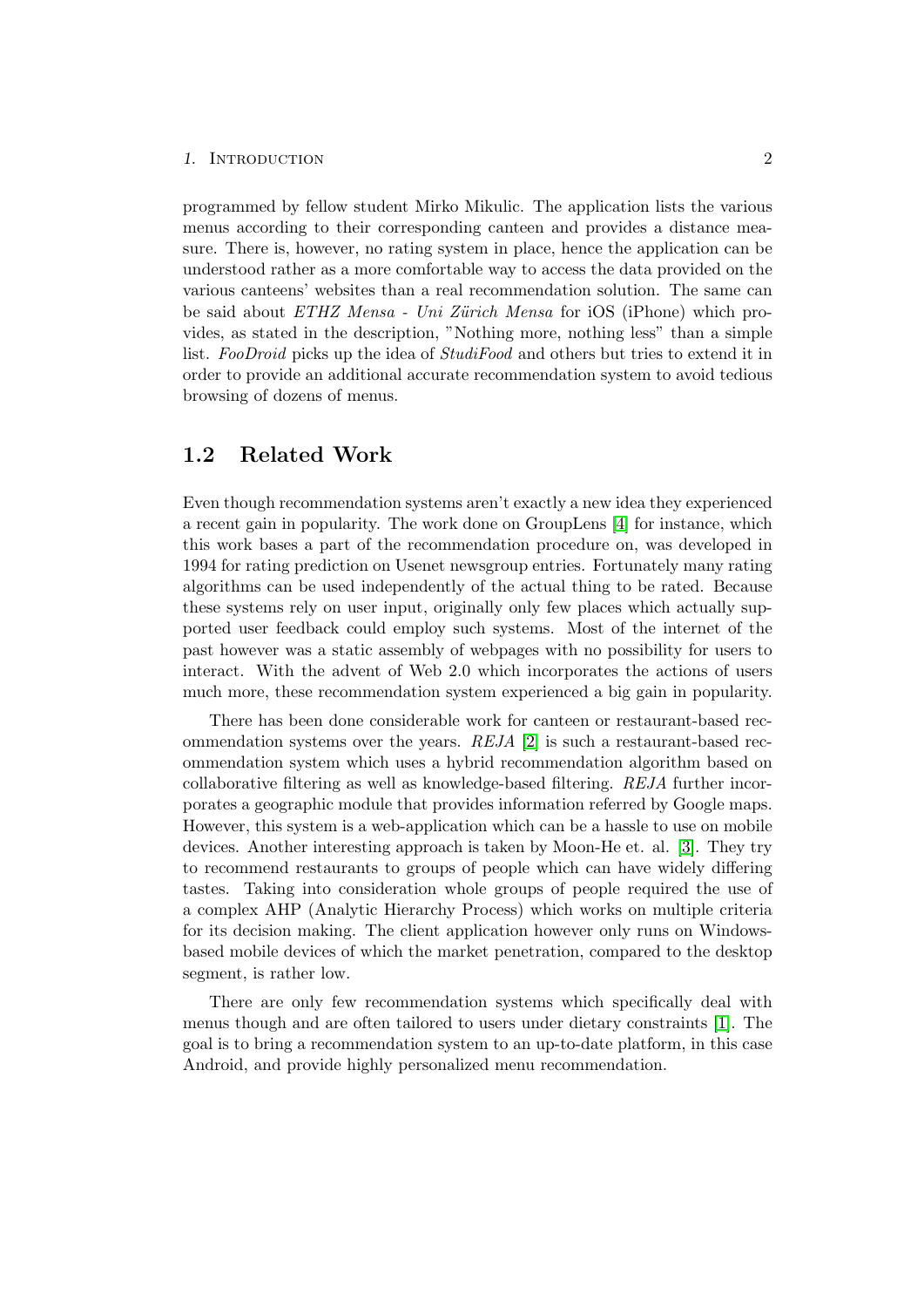#### 1. INTRODUCTION 2

programmed by fellow student Mirko Mikulic. The application lists the various menus according to their corresponding canteen and provides a distance measure. There is, however, no rating system in place, hence the application can be understood rather as a more comfortable way to access the data provided on the various canteens' websites than a real recommendation solution. The same can be said about ETHZ Mensa - Uni Zürich Mensa for iOS (iPhone) which provides, as stated in the description, "Nothing more, nothing less" than a simple list. FooDroid picks up the idea of StudiFood and others but tries to extend it in order to provide an additional accurate recommendation system to avoid tedious browsing of dozens of menus.

### <span id="page-5-0"></span>1.2 Related Work

Even though recommendation systems aren't exactly a new idea they experienced a recent gain in popularity. The work done on GroupLens [\[4\]](#page-20-1) for instance, which this work bases a part of the recommendation procedure on, was developed in 1994 for rating prediction on Usenet newsgroup entries. Fortunately many rating algorithms can be used independently of the actual thing to be rated. Because these systems rely on user input, originally only few places which actually supported user feedback could employ such systems. Most of the internet of the past however was a static assembly of webpages with no possibility for users to interact. With the advent of Web 2.0 which incorporates the actions of users much more, these recommendation system experienced a big gain in popularity.

There has been done considerable work for canteen or restaurant-based rec-ommendation systems over the years. REJA [\[2\]](#page-20-2) is such a restaurant-based recommendation system which uses a hybrid recommendation algorithm based on collaborative filtering as well as knowledge-based filtering. REJA further incorporates a geographic module that provides information referred by Google maps. However, this system is a web-application which can be a hassle to use on mobile devices. Another interesting approach is taken by Moon-He et. al. [\[3\]](#page-20-3). They try to recommend restaurants to groups of people which can have widely differing tastes. Taking into consideration whole groups of people required the use of a complex AHP (Analytic Hierarchy Process) which works on multiple criteria for its decision making. The client application however only runs on Windowsbased mobile devices of which the market penetration, compared to the desktop segment, is rather low.

There are only few recommendation systems which specifically deal with menus though and are often tailored to users under dietary constraints [\[1\]](#page-20-4). The goal is to bring a recommendation system to an up-to-date platform, in this case Android, and provide highly personalized menu recommendation.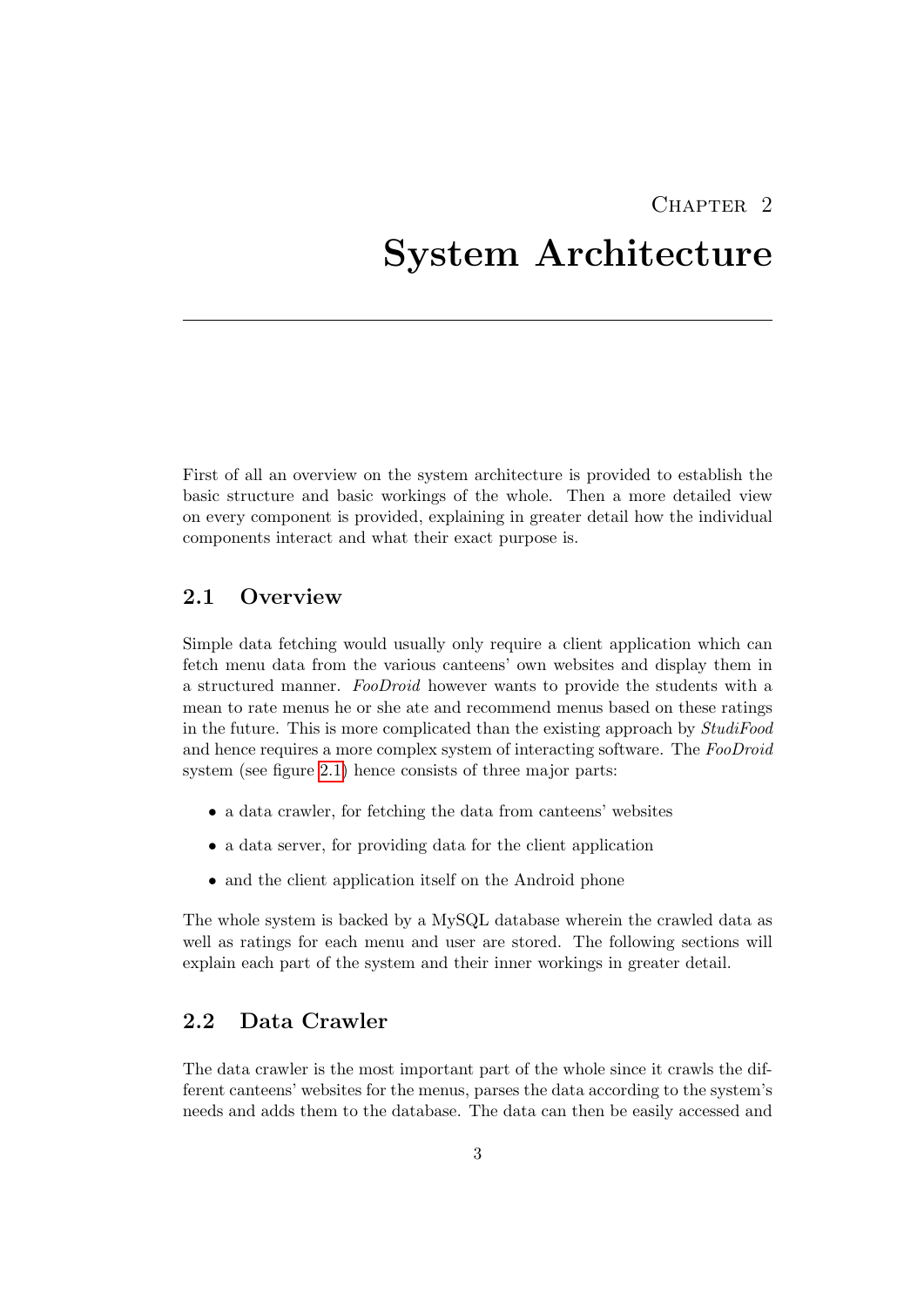## $CHAPTER$  2

## <span id="page-6-0"></span>System Architecture

First of all an overview on the system architecture is provided to establish the basic structure and basic workings of the whole. Then a more detailed view on every component is provided, explaining in greater detail how the individual components interact and what their exact purpose is.

### <span id="page-6-1"></span>2.1 Overview

Simple data fetching would usually only require a client application which can fetch menu data from the various canteens' own websites and display them in a structured manner. FooDroid however wants to provide the students with a mean to rate menus he or she ate and recommend menus based on these ratings in the future. This is more complicated than the existing approach by StudiFood and hence requires a more complex system of interacting software. The FooDroid system (see figure [2.1\)](#page-7-0) hence consists of three major parts:

- a data crawler, for fetching the data from canteens' websites
- a data server, for providing data for the client application
- and the client application itself on the Android phone

The whole system is backed by a MySQL database wherein the crawled data as well as ratings for each menu and user are stored. The following sections will explain each part of the system and their inner workings in greater detail.

## <span id="page-6-2"></span>2.2 Data Crawler

The data crawler is the most important part of the whole since it crawls the different canteens' websites for the menus, parses the data according to the system's needs and adds them to the database. The data can then be easily accessed and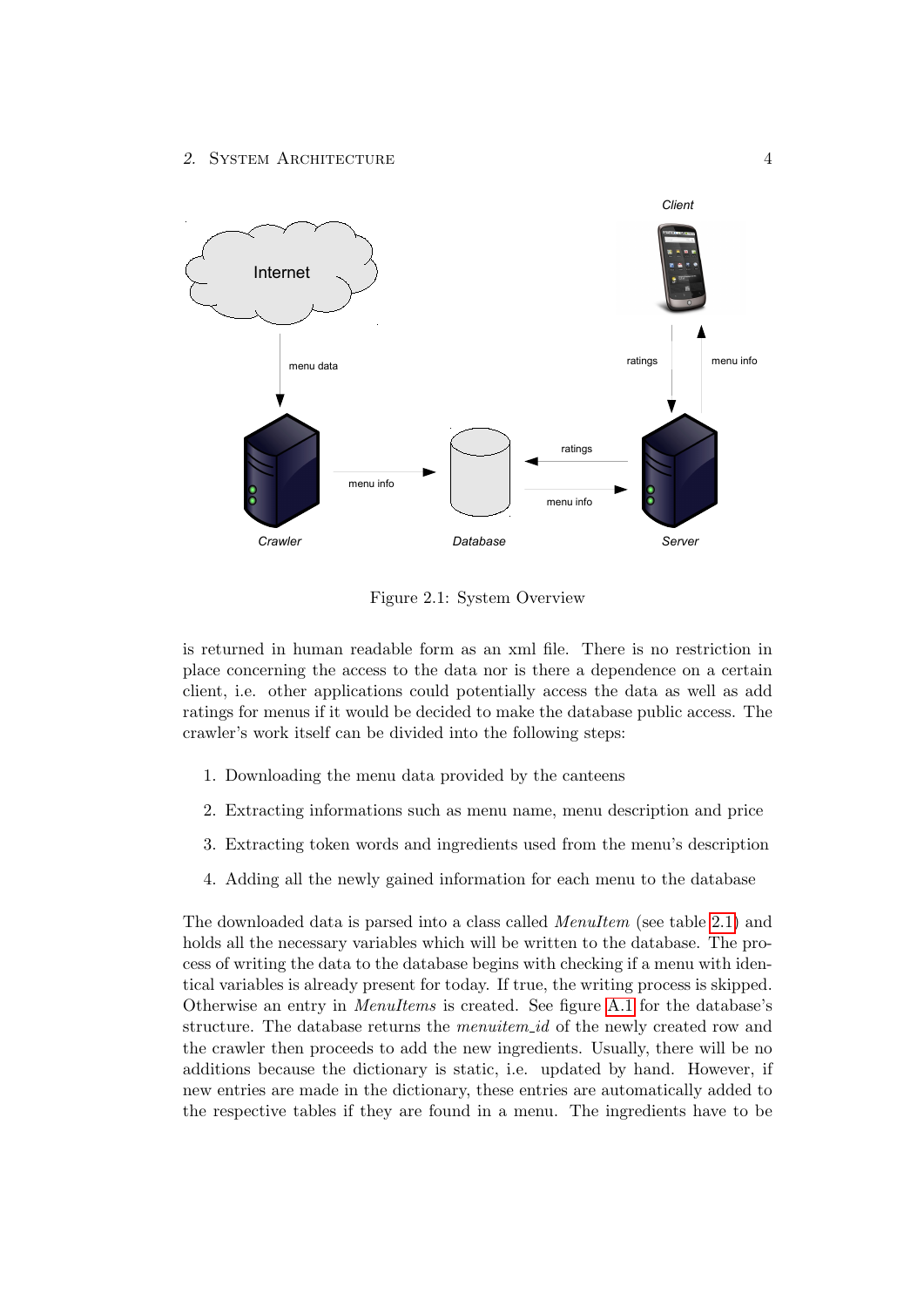

<span id="page-7-0"></span>Figure 2.1: System Overview

is returned in human readable form as an xml file. There is no restriction in place concerning the access to the data nor is there a dependence on a certain client, i.e. other applications could potentially access the data as well as add ratings for menus if it would be decided to make the database public access. The crawler's work itself can be divided into the following steps:

- 1. Downloading the menu data provided by the canteens
- 2. Extracting informations such as menu name, menu description and price
- 3. Extracting token words and ingredients used from the menu's description
- 4. Adding all the newly gained information for each menu to the database

The downloaded data is parsed into a class called *MenuItem* (see table [2.1\)](#page-8-2) and holds all the necessary variables which will be written to the database. The process of writing the data to the database begins with checking if a menu with identical variables is already present for today. If true, the writing process is skipped. Otherwise an entry in MenuItems is created. See figure [A.1](#page-22-0) for the database's structure. The database returns the *menuitem id* of the newly created row and the crawler then proceeds to add the new ingredients. Usually, there will be no additions because the dictionary is static, i.e. updated by hand. However, if new entries are made in the dictionary, these entries are automatically added to the respective tables if they are found in a menu. The ingredients have to be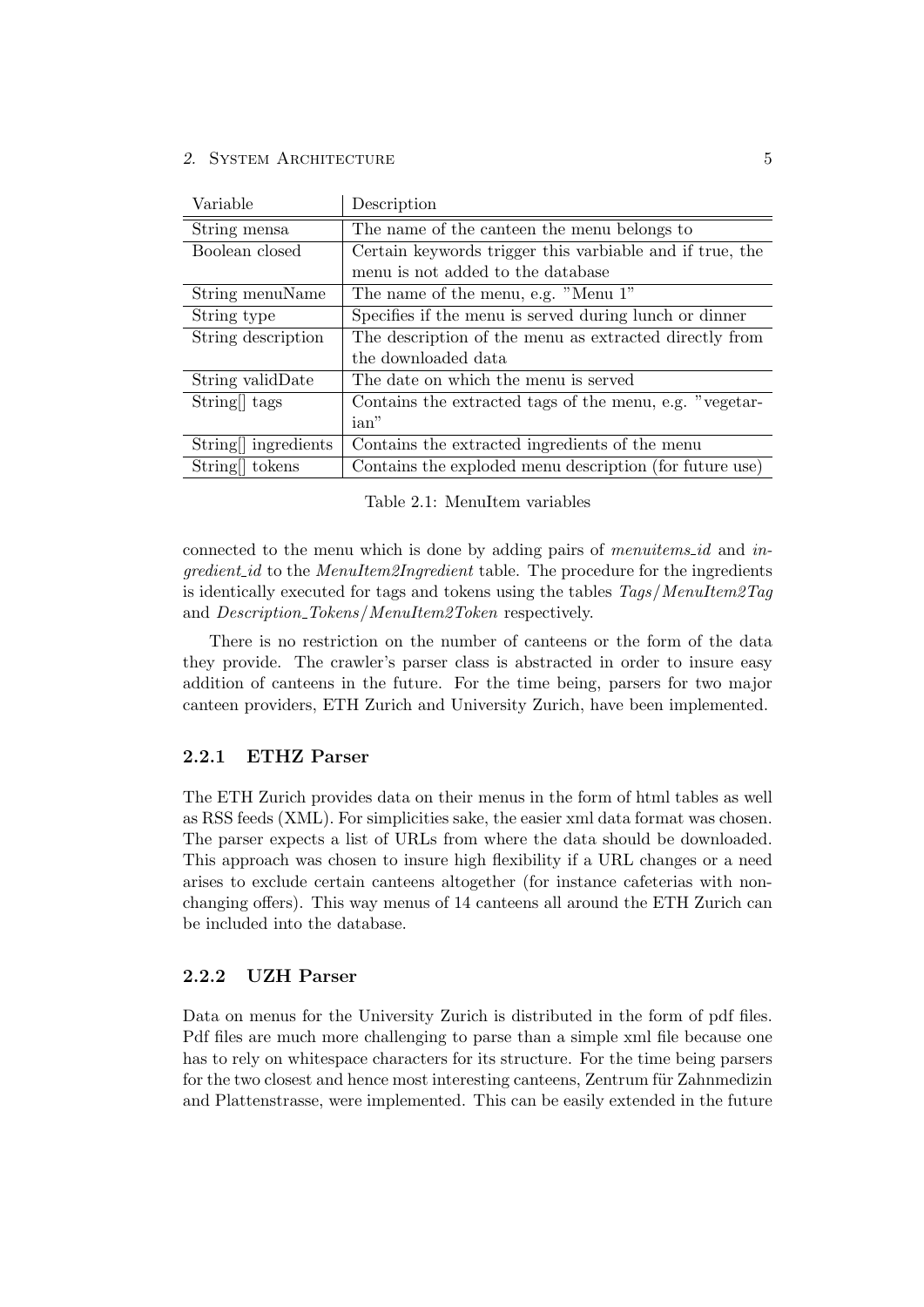| Variable             | Description                                              |  |  |  |
|----------------------|----------------------------------------------------------|--|--|--|
| String mensa         | The name of the canteen the menu belongs to              |  |  |  |
| Boolean closed       | Certain keywords trigger this varbiable and if true, the |  |  |  |
|                      | menu is not added to the database                        |  |  |  |
| String menuName      | The name of the menu, e.g. "Menu 1"                      |  |  |  |
| String type          | Specifies if the menu is served during lunch or dinner   |  |  |  |
| String description   | The description of the menu as extracted directly from   |  |  |  |
|                      | the downloaded data                                      |  |  |  |
| String validDate     | The date on which the menu is served                     |  |  |  |
| String tags          | Contains the extracted tags of the menu, e.g. "vegetar-  |  |  |  |
|                      | ian"                                                     |  |  |  |
| String   ingredients | Contains the extracted ingredients of the menu           |  |  |  |
| String    tokens     | Contains the exploded menu description (for future use)  |  |  |  |

<span id="page-8-2"></span>Table 2.1: MenuItem variables

connected to the menu which is done by adding pairs of menuitems id and ingredient id to the MenuItem2Ingredient table. The procedure for the ingredients is identically executed for tags and tokens using the tables  $Tags/MenuItem2Tag$ and *Description\_Tokens/MenuItem2Token* respectively.

There is no restriction on the number of canteens or the form of the data they provide. The crawler's parser class is abstracted in order to insure easy addition of canteens in the future. For the time being, parsers for two major canteen providers, ETH Zurich and University Zurich, have been implemented.

#### <span id="page-8-0"></span>2.2.1 ETHZ Parser

The ETH Zurich provides data on their menus in the form of html tables as well as RSS feeds (XML). For simplicities sake, the easier xml data format was chosen. The parser expects a list of URLs from where the data should be downloaded. This approach was chosen to insure high flexibility if a URL changes or a need arises to exclude certain canteens altogether (for instance cafeterias with nonchanging offers). This way menus of 14 canteens all around the ETH Zurich can be included into the database.

#### <span id="page-8-1"></span>2.2.2 UZH Parser

Data on menus for the University Zurich is distributed in the form of pdf files. Pdf files are much more challenging to parse than a simple xml file because one has to rely on whitespace characters for its structure. For the time being parsers for the two closest and hence most interesting canteens, Zentrum für Zahnmedizin and Plattenstrasse, were implemented. This can be easily extended in the future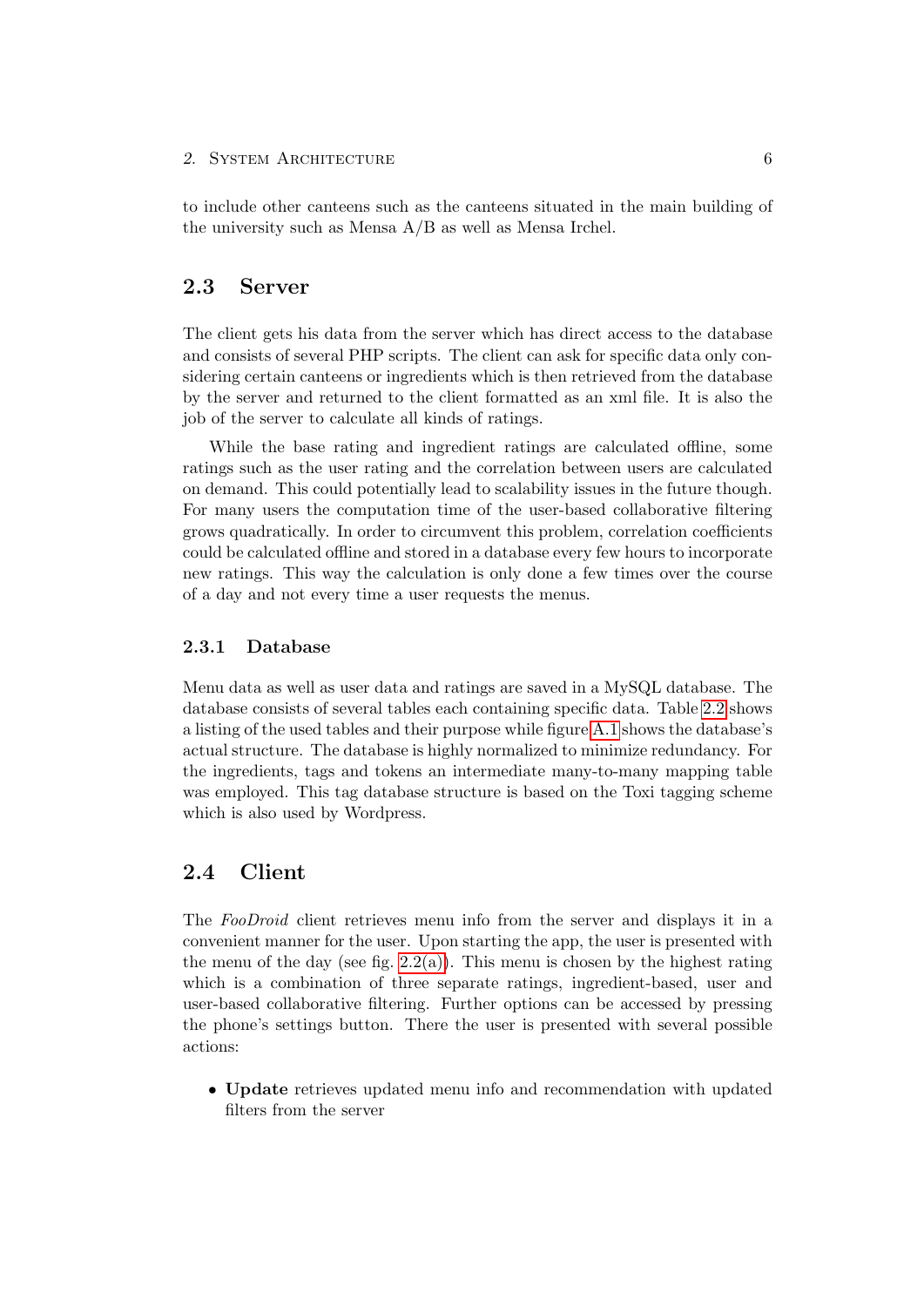to include other canteens such as the canteens situated in the main building of the university such as Mensa A/B as well as Mensa Irchel.

### <span id="page-9-0"></span>2.3 Server

The client gets his data from the server which has direct access to the database and consists of several PHP scripts. The client can ask for specific data only considering certain canteens or ingredients which is then retrieved from the database by the server and returned to the client formatted as an xml file. It is also the job of the server to calculate all kinds of ratings.

While the base rating and ingredient ratings are calculated offline, some ratings such as the user rating and the correlation between users are calculated on demand. This could potentially lead to scalability issues in the future though. For many users the computation time of the user-based collaborative filtering grows quadratically. In order to circumvent this problem, correlation coefficients could be calculated offline and stored in a database every few hours to incorporate new ratings. This way the calculation is only done a few times over the course of a day and not every time a user requests the menus.

#### <span id="page-9-1"></span>2.3.1 Database

Menu data as well as user data and ratings are saved in a MySQL database. The database consists of several tables each containing specific data. Table [2.2](#page-10-0) shows a listing of the used tables and their purpose while figure [A.1](#page-22-0) shows the database's actual structure. The database is highly normalized to minimize redundancy. For the ingredients, tags and tokens an intermediate many-to-many mapping table was employed. This tag database structure is based on the Toxi tagging scheme which is also used by Wordpress.

### <span id="page-9-2"></span>2.4 Client

The FooDroid client retrieves menu info from the server and displays it in a convenient manner for the user. Upon starting the app, the user is presented with the menu of the day (see fig.  $2.2(a)$ ). This menu is chosen by the highest rating which is a combination of three separate ratings, ingredient-based, user and user-based collaborative filtering. Further options can be accessed by pressing the phone's settings button. There the user is presented with several possible actions:

• Update retrieves updated menu info and recommendation with updated filters from the server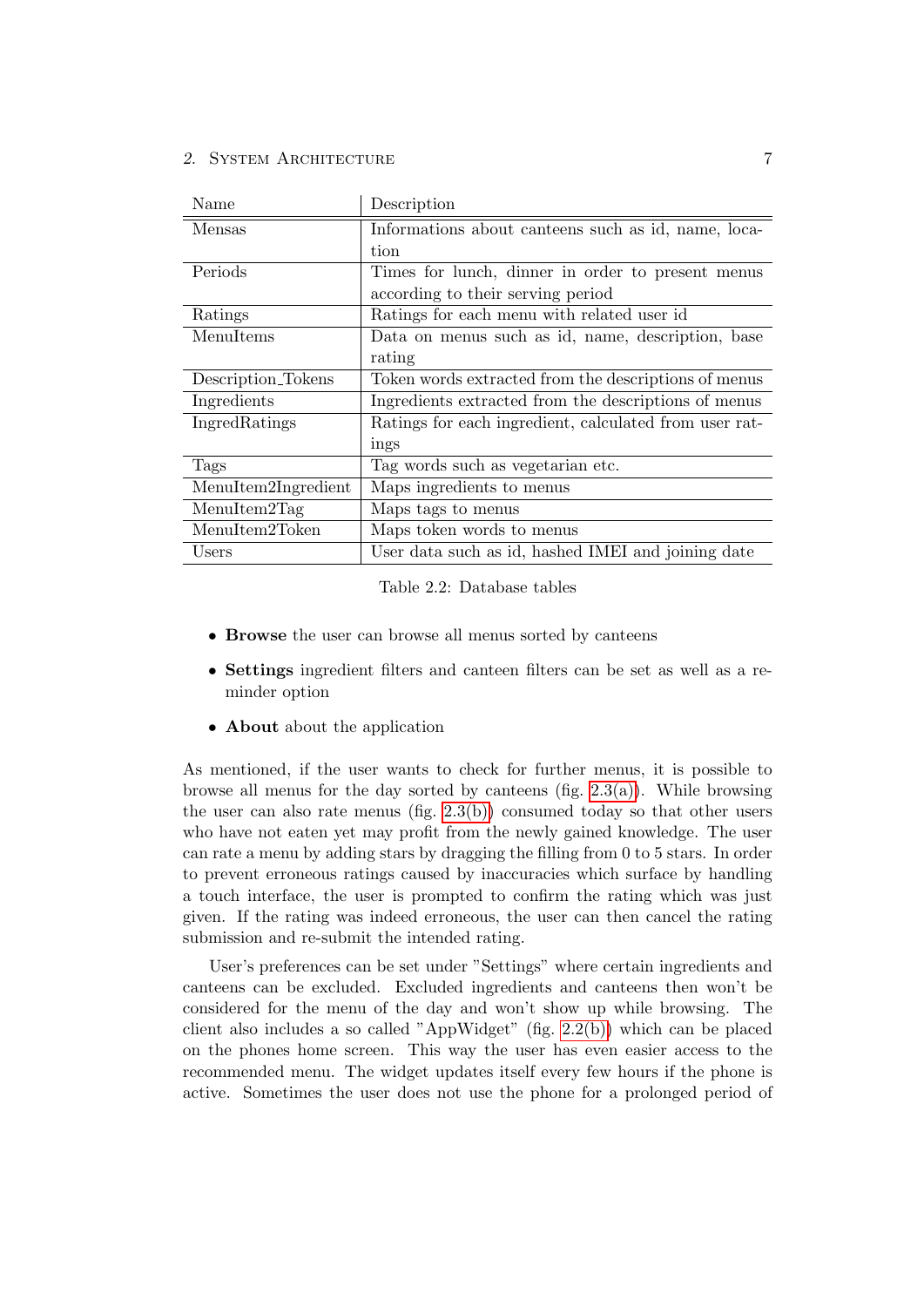| Name                | Description                                            |  |  |  |
|---------------------|--------------------------------------------------------|--|--|--|
| Mensas              | Informations about canteens such as id, name, loca-    |  |  |  |
|                     | tion                                                   |  |  |  |
| Periods             | Times for lunch, dinner in order to present menus      |  |  |  |
|                     | according to their serving period                      |  |  |  |
| Ratings             | Ratings for each menu with related user id             |  |  |  |
| MenuItems           | Data on menus such as id, name, description, base      |  |  |  |
|                     | rating                                                 |  |  |  |
| Description_Tokens  | Token words extracted from the descriptions of menus   |  |  |  |
| Ingredients         | Ingredients extracted from the descriptions of menus   |  |  |  |
| IngredRatings       | Ratings for each ingredient, calculated from user rat- |  |  |  |
|                     | ings                                                   |  |  |  |
| <b>Tags</b>         | Tag words such as vegetarian etc.                      |  |  |  |
| MenuItem2Ingredient | Maps ingredients to menus                              |  |  |  |
| MenuItem2Tag        | Maps tags to menus                                     |  |  |  |
| MenuItem2Token      | Maps token words to menus                              |  |  |  |
| Users               | User data such as id, hashed IMEI and joining date     |  |  |  |

<span id="page-10-0"></span>Table 2.2: Database tables

- Browse the user can browse all menus sorted by canteens
- Settings ingredient filters and canteen filters can be set as well as a reminder option
- **About** about the application

As mentioned, if the user wants to check for further menus, it is possible to browse all menus for the day sorted by canteens (fig.  $2.3(a)$ ). While browsing the user can also rate menus (fig. [2.3\(b\)\)](#page-12-1) consumed today so that other users who have not eaten yet may profit from the newly gained knowledge. The user can rate a menu by adding stars by dragging the filling from 0 to 5 stars. In order to prevent erroneous ratings caused by inaccuracies which surface by handling a touch interface, the user is prompted to confirm the rating which was just given. If the rating was indeed erroneous, the user can then cancel the rating submission and re-submit the intended rating.

User's preferences can be set under "Settings" where certain ingredients and canteens can be excluded. Excluded ingredients and canteens then won't be considered for the menu of the day and won't show up while browsing. The client also includes a so called "AppWidget" (fig. [2.2\(b\)\)](#page-11-1) which can be placed on the phones home screen. This way the user has even easier access to the recommended menu. The widget updates itself every few hours if the phone is active. Sometimes the user does not use the phone for a prolonged period of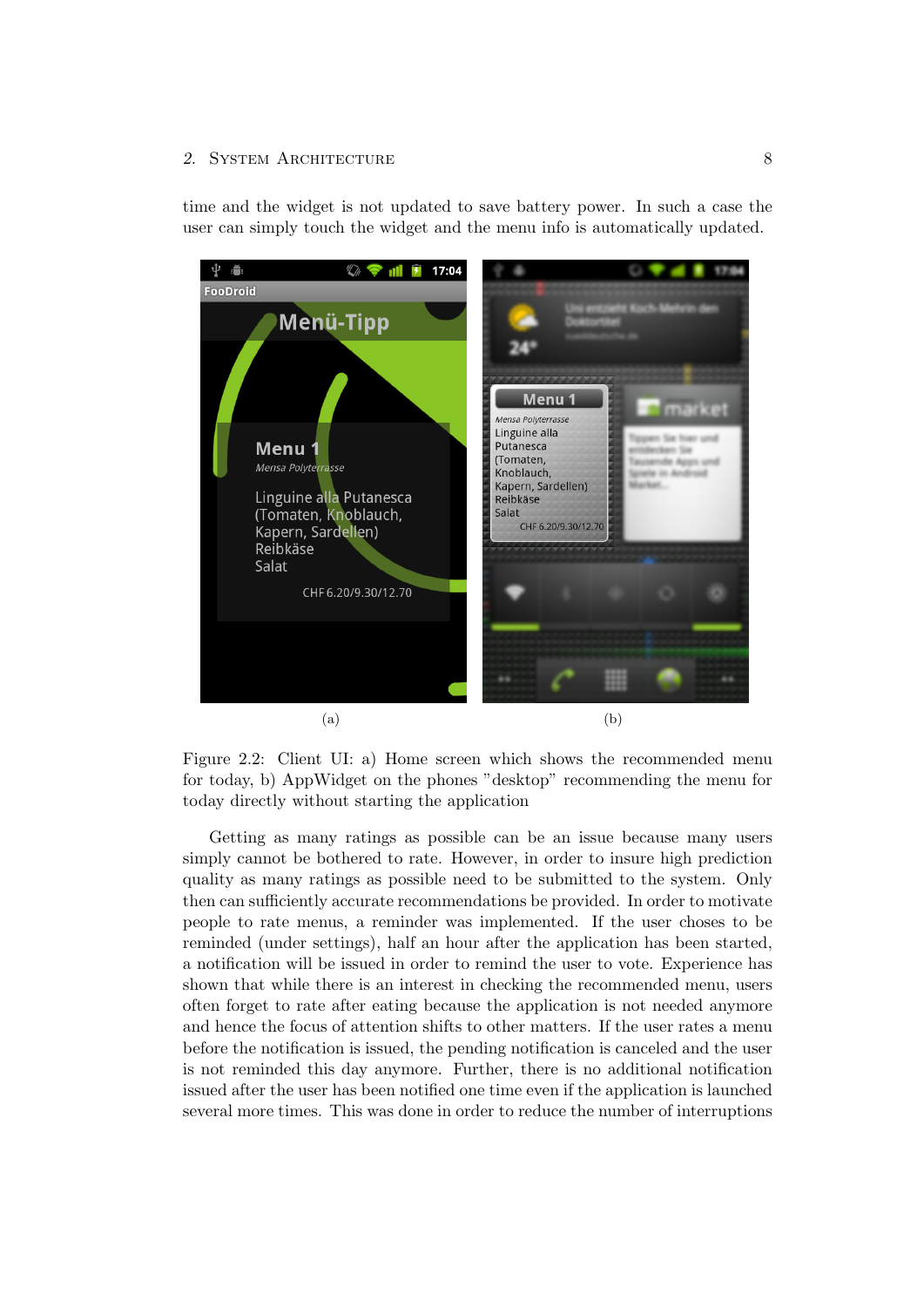<span id="page-11-0"></span>

time and the widget is not updated to save battery power. In such a case the user can simply touch the widget and the menu info is automatically updated.

<span id="page-11-1"></span>Figure 2.2: Client UI: a) Home screen which shows the recommended menu for today, b) AppWidget on the phones "desktop" recommending the menu for today directly without starting the application

Getting as many ratings as possible can be an issue because many users simply cannot be bothered to rate. However, in order to insure high prediction quality as many ratings as possible need to be submitted to the system. Only then can sufficiently accurate recommendations be provided. In order to motivate people to rate menus, a reminder was implemented. If the user choses to be reminded (under settings), half an hour after the application has been started, a notification will be issued in order to remind the user to vote. Experience has shown that while there is an interest in checking the recommended menu, users often forget to rate after eating because the application is not needed anymore and hence the focus of attention shifts to other matters. If the user rates a menu before the notification is issued, the pending notification is canceled and the user is not reminded this day anymore. Further, there is no additional notification issued after the user has been notified one time even if the application is launched several more times. This was done in order to reduce the number of interruptions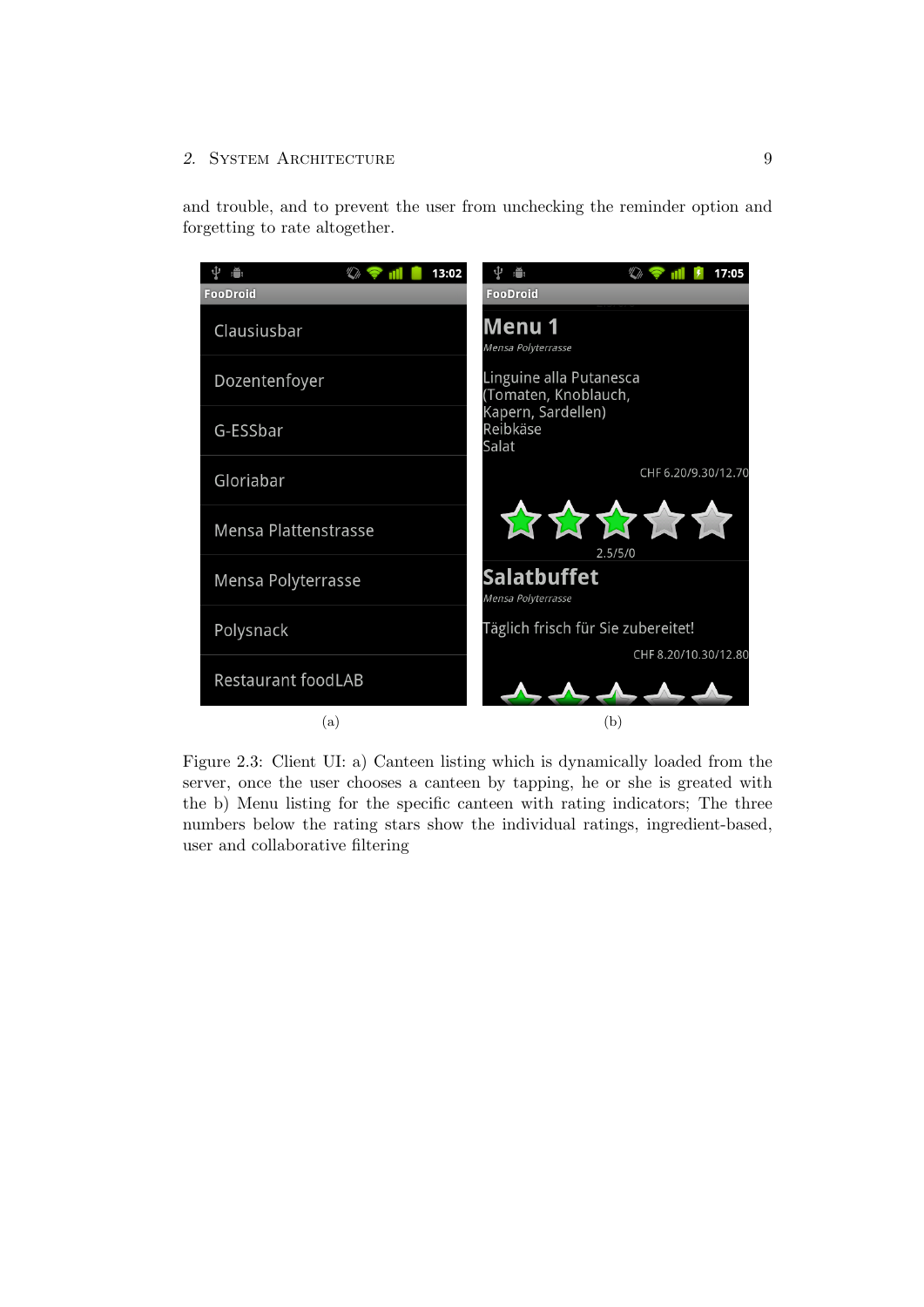and trouble, and to prevent the user from unchecking the reminder option and forgetting to rate altogether.

<span id="page-12-0"></span>

|                           | $\sqrt[n]{h}$ | 13:02 | Ă<br>ψ                                          | 17:05                              |
|---------------------------|---------------|-------|-------------------------------------------------|------------------------------------|
| <b>FooDroid</b>           |               |       | <b>FooDroid</b>                                 |                                    |
| Clausiusbar               |               |       | Menu 1<br>Mensa Polyterrasse                    |                                    |
| Dozentenfoyer             |               |       | Linguine alla Putanesca<br>(Tomaten, Knoblauch, |                                    |
| G-ESSbar                  |               |       | Kapern, Sardellen)<br>Reibkäse<br>Salat         |                                    |
| Gloriabar                 |               |       |                                                 | CHF 6.20/9.30/12.70                |
| Mensa Plattenstrasse      |               |       |                                                 | *****<br>2.5/5/0                   |
| Mensa Polyterrasse        |               |       | <b>Salatbuffet</b><br>Mensa Polyterrasse        |                                    |
| Polysnack                 |               |       |                                                 | Täglich frisch für Sie zubereitet! |
|                           |               |       |                                                 | CHF 8.20/10.30/12.80               |
| <b>Restaurant foodLAB</b> |               |       |                                                 |                                    |
| (a)                       |               |       |                                                 | (b)                                |

<span id="page-12-1"></span>Figure 2.3: Client UI: a) Canteen listing which is dynamically loaded from the server, once the user chooses a canteen by tapping, he or she is greated with the b) Menu listing for the specific canteen with rating indicators; The three numbers below the rating stars show the individual ratings, ingredient-based, user and collaborative filtering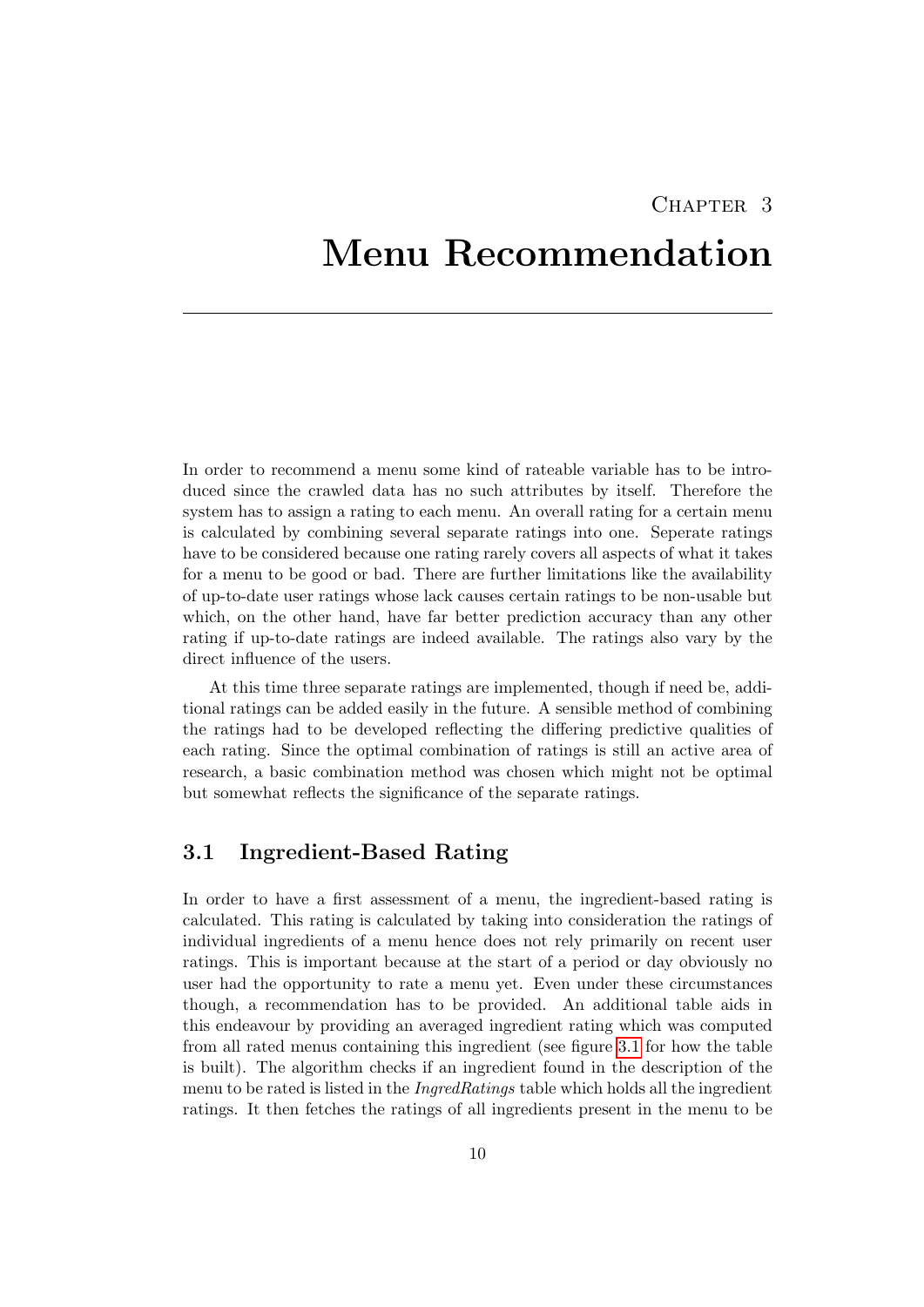## CHAPTER<sub>3</sub>

## <span id="page-13-0"></span>Menu Recommendation

In order to recommend a menu some kind of rateable variable has to be introduced since the crawled data has no such attributes by itself. Therefore the system has to assign a rating to each menu. An overall rating for a certain menu is calculated by combining several separate ratings into one. Seperate ratings have to be considered because one rating rarely covers all aspects of what it takes for a menu to be good or bad. There are further limitations like the availability of up-to-date user ratings whose lack causes certain ratings to be non-usable but which, on the other hand, have far better prediction accuracy than any other rating if up-to-date ratings are indeed available. The ratings also vary by the direct influence of the users.

At this time three separate ratings are implemented, though if need be, additional ratings can be added easily in the future. A sensible method of combining the ratings had to be developed reflecting the differing predictive qualities of each rating. Since the optimal combination of ratings is still an active area of research, a basic combination method was chosen which might not be optimal but somewhat reflects the significance of the separate ratings.

### <span id="page-13-1"></span>3.1 Ingredient-Based Rating

In order to have a first assessment of a menu, the ingredient-based rating is calculated. This rating is calculated by taking into consideration the ratings of individual ingredients of a menu hence does not rely primarily on recent user ratings. This is important because at the start of a period or day obviously no user had the opportunity to rate a menu yet. Even under these circumstances though, a recommendation has to be provided. An additional table aids in this endeavour by providing an averaged ingredient rating which was computed from all rated menus containing this ingredient (see figure [3.1](#page-14-1) for how the table is built). The algorithm checks if an ingredient found in the description of the menu to be rated is listed in the  $InpredRatings$  table which holds all the ingredient ratings. It then fetches the ratings of all ingredients present in the menu to be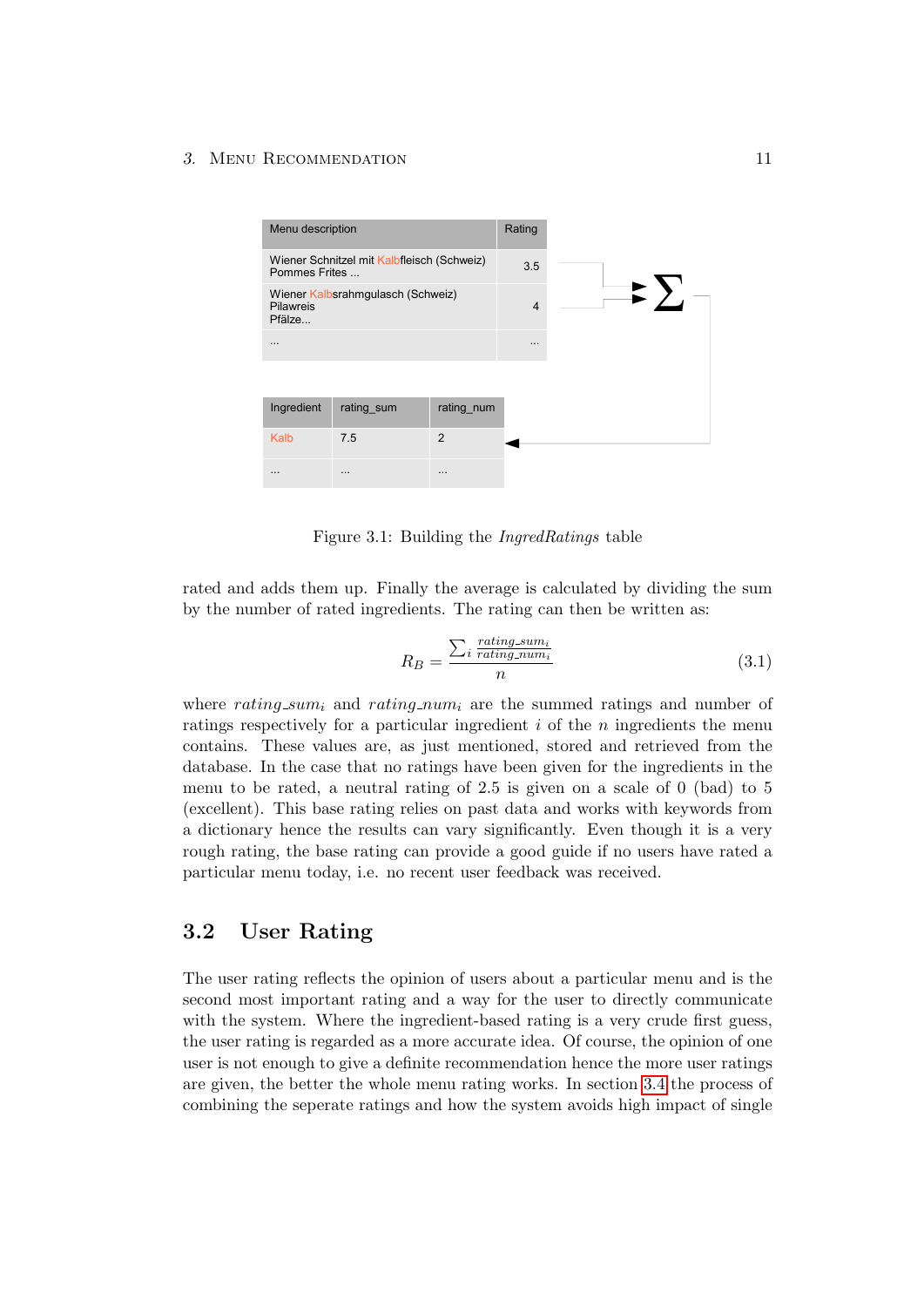

<span id="page-14-1"></span>Figure 3.1: Building the IngredRatings table

rated and adds them up. Finally the average is calculated by dividing the sum by the number of rated ingredients. The rating can then be written as:

$$
R_B = \frac{\sum_{i} \frac{rating\_sum_i}{rating\_num_i}}{n} \tag{3.1}
$$

where rating sum<sub>i</sub> and rating num<sub>i</sub> are the summed ratings and number of ratings respectively for a particular ingredient  $i$  of the n ingredients the menu contains. These values are, as just mentioned, stored and retrieved from the database. In the case that no ratings have been given for the ingredients in the menu to be rated, a neutral rating of 2.5 is given on a scale of 0 (bad) to 5 (excellent). This base rating relies on past data and works with keywords from a dictionary hence the results can vary significantly. Even though it is a very rough rating, the base rating can provide a good guide if no users have rated a particular menu today, i.e. no recent user feedback was received.

## <span id="page-14-0"></span>3.2 User Rating

The user rating reflects the opinion of users about a particular menu and is the second most important rating and a way for the user to directly communicate with the system. Where the ingredient-based rating is a very crude first guess, the user rating is regarded as a more accurate idea. Of course, the opinion of one user is not enough to give a definite recommendation hence the more user ratings are given, the better the whole menu rating works. In section [3.4](#page-16-0) the process of combining the seperate ratings and how the system avoids high impact of single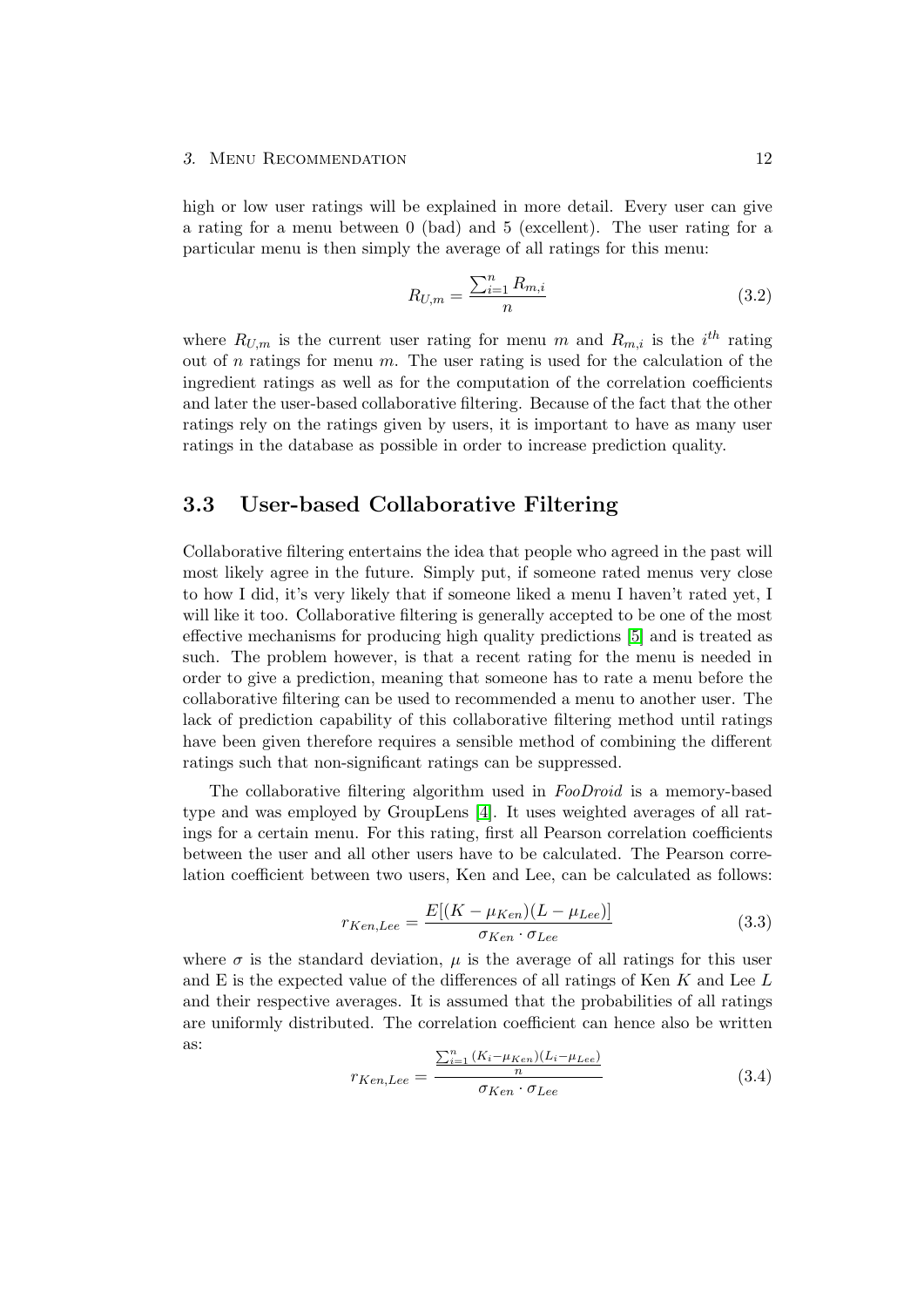high or low user ratings will be explained in more detail. Every user can give a rating for a menu between 0 (bad) and 5 (excellent). The user rating for a particular menu is then simply the average of all ratings for this menu:

$$
R_{U,m} = \frac{\sum_{i=1}^{n} R_{m,i}}{n}
$$
 (3.2)

where  $R_{U,m}$  is the current user rating for menu m and  $R_{m,i}$  is the i<sup>th</sup> rating out of n ratings for menu m. The user rating is used for the calculation of the ingredient ratings as well as for the computation of the correlation coefficients and later the user-based collaborative filtering. Because of the fact that the other ratings rely on the ratings given by users, it is important to have as many user ratings in the database as possible in order to increase prediction quality.

### <span id="page-15-0"></span>3.3 User-based Collaborative Filtering

Collaborative filtering entertains the idea that people who agreed in the past will most likely agree in the future. Simply put, if someone rated menus very close to how I did, it's very likely that if someone liked a menu I haven't rated yet, I will like it too. Collaborative filtering is generally accepted to be one of the most effective mechanisms for producing high quality predictions [\[5\]](#page-20-5) and is treated as such. The problem however, is that a recent rating for the menu is needed in order to give a prediction, meaning that someone has to rate a menu before the collaborative filtering can be used to recommended a menu to another user. The lack of prediction capability of this collaborative filtering method until ratings have been given therefore requires a sensible method of combining the different ratings such that non-significant ratings can be suppressed.

The collaborative filtering algorithm used in *FooDroid* is a memory-based type and was employed by GroupLens [\[4\]](#page-20-1). It uses weighted averages of all ratings for a certain menu. For this rating, first all Pearson correlation coefficients between the user and all other users have to be calculated. The Pearson correlation coefficient between two users, Ken and Lee, can be calculated as follows:

$$
r_{Ken, Lee} = \frac{E[(K - \mu_{Ken})(L - \mu_{Lee})]}{\sigma_{Ken} \cdot \sigma_{Lee}} \tag{3.3}
$$

where  $\sigma$  is the standard deviation,  $\mu$  is the average of all ratings for this user and E is the expected value of the differences of all ratings of Ken  $K$  and Lee  $L$ and their respective averages. It is assumed that the probabilities of all ratings are uniformly distributed. The correlation coefficient can hence also be written as:

$$
r_{Ken, Lee} = \frac{\frac{\sum_{i=1}^{n} (K_i - \mu_{Ken})(L_i - \mu_{Lee})}{n}}{\sigma_{Ken} \cdot \sigma_{Lee}} \tag{3.4}
$$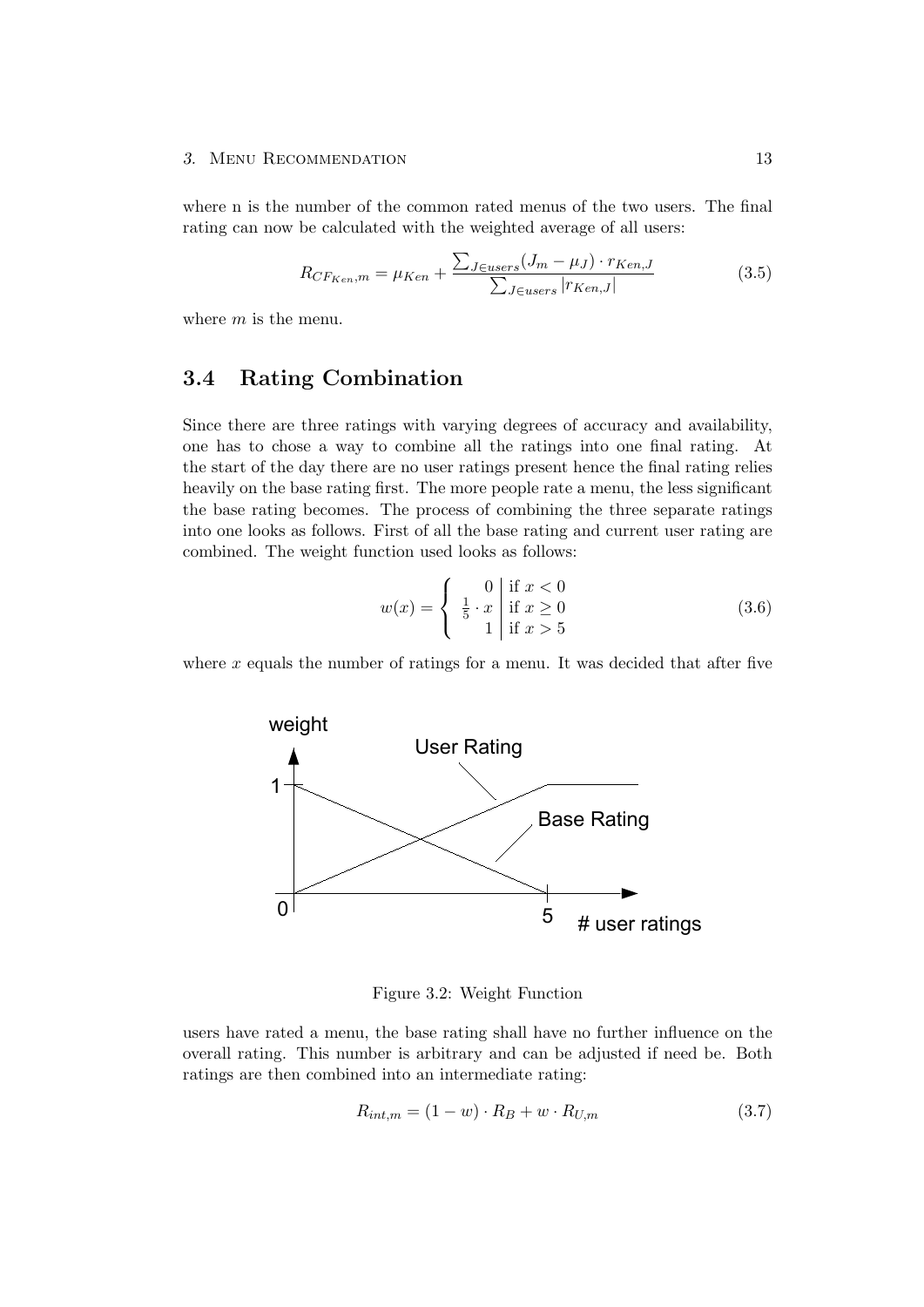where n is the number of the common rated menus of the two users. The final rating can now be calculated with the weighted average of all users:

$$
R_{CF_{Ken},m} = \mu_{Ken} + \frac{\sum_{J \in users} (J_m - \mu_J) \cdot r_{Ken,J}}{\sum_{Jeusers} |r_{Ken,J}|}
$$
(3.5)

where  $m$  is the menu.

### <span id="page-16-0"></span>3.4 Rating Combination

Since there are three ratings with varying degrees of accuracy and availability, one has to chose a way to combine all the ratings into one final rating. At the start of the day there are no user ratings present hence the final rating relies heavily on the base rating first. The more people rate a menu, the less significant the base rating becomes. The process of combining the three separate ratings into one looks as follows. First of all the base rating and current user rating are combined. The weight function used looks as follows:

$$
w(x) = \begin{cases} 0 & \text{if } x < 0\\ \frac{1}{5} \cdot x & \text{if } x \ge 0\\ 1 & \text{if } x > 5 \end{cases}
$$
 (3.6)

where  $x$  equals the number of ratings for a menu. It was decided that after five



Figure 3.2: Weight Function

users have rated a menu, the base rating shall have no further influence on the overall rating. This number is arbitrary and can be adjusted if need be. Both ratings are then combined into an intermediate rating:

$$
R_{int,m} = (1 - w) \cdot R_B + w \cdot R_{U,m} \tag{3.7}
$$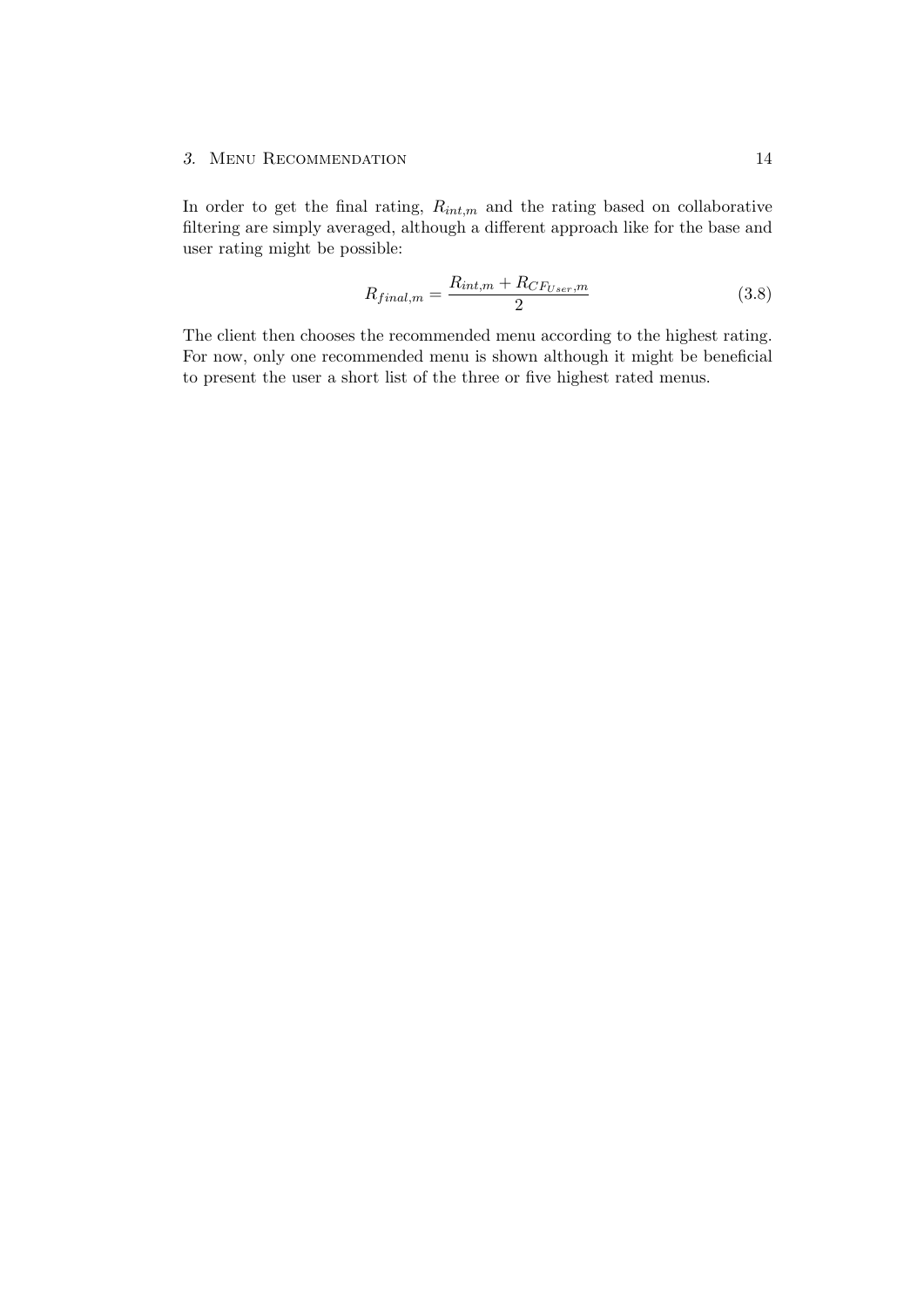In order to get the final rating,  $R_{int,m}$  and the rating based on collaborative filtering are simply averaged, although a different approach like for the base and user rating might be possible:

$$
R_{final,m} = \frac{R_{int,m} + R_{CF_{User},m}}{2}
$$
\n(3.8)

The client then chooses the recommended menu according to the highest rating. For now, only one recommended menu is shown although it might be beneficial to present the user a short list of the three or five highest rated menus.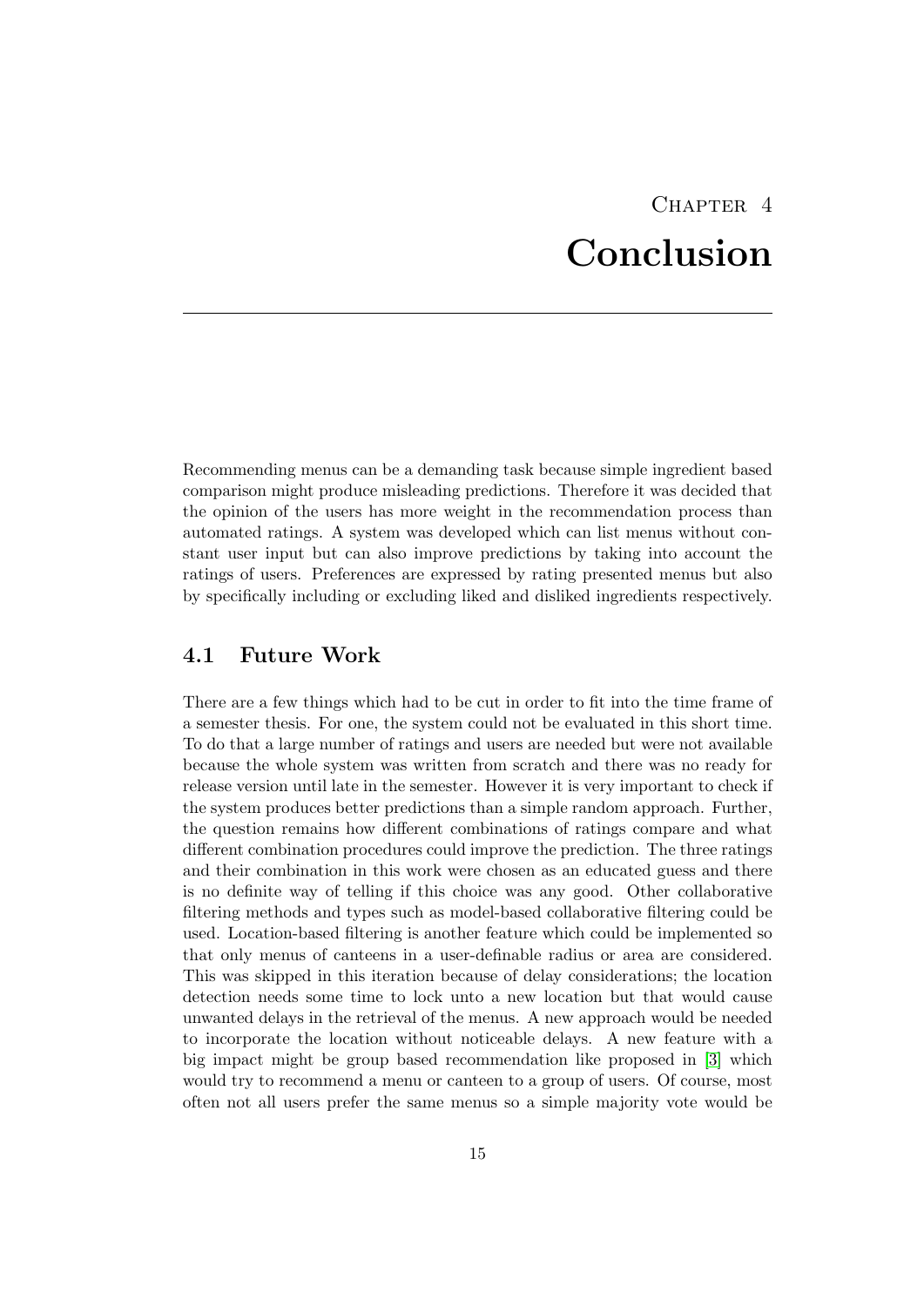## CHAPTER<sub>4</sub> Conclusion

<span id="page-18-0"></span>Recommending menus can be a demanding task because simple ingredient based comparison might produce misleading predictions. Therefore it was decided that the opinion of the users has more weight in the recommendation process than automated ratings. A system was developed which can list menus without constant user input but can also improve predictions by taking into account the ratings of users. Preferences are expressed by rating presented menus but also by specifically including or excluding liked and disliked ingredients respectively.

## <span id="page-18-1"></span>4.1 Future Work

There are a few things which had to be cut in order to fit into the time frame of a semester thesis. For one, the system could not be evaluated in this short time. To do that a large number of ratings and users are needed but were not available because the whole system was written from scratch and there was no ready for release version until late in the semester. However it is very important to check if the system produces better predictions than a simple random approach. Further, the question remains how different combinations of ratings compare and what different combination procedures could improve the prediction. The three ratings and their combination in this work were chosen as an educated guess and there is no definite way of telling if this choice was any good. Other collaborative filtering methods and types such as model-based collaborative filtering could be used. Location-based filtering is another feature which could be implemented so that only menus of canteens in a user-definable radius or area are considered. This was skipped in this iteration because of delay considerations; the location detection needs some time to lock unto a new location but that would cause unwanted delays in the retrieval of the menus. A new approach would be needed to incorporate the location without noticeable delays. A new feature with a big impact might be group based recommendation like proposed in [\[3\]](#page-20-3) which would try to recommend a menu or canteen to a group of users. Of course, most often not all users prefer the same menus so a simple majority vote would be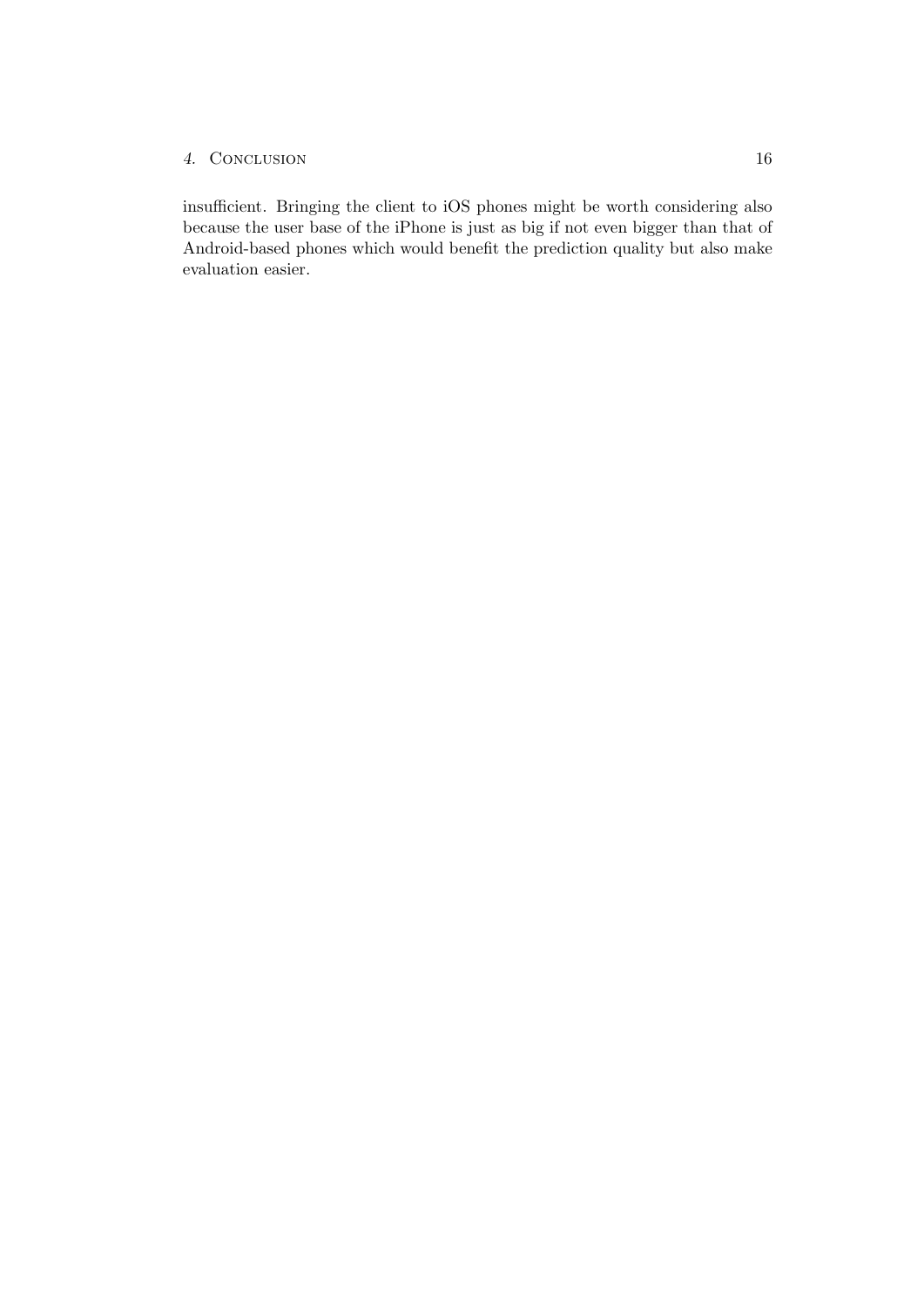#### 4. Conclusion 16

insufficient. Bringing the client to iOS phones might be worth considering also because the user base of the iPhone is just as big if not even bigger than that of Android-based phones which would benefit the prediction quality but also make evaluation easier.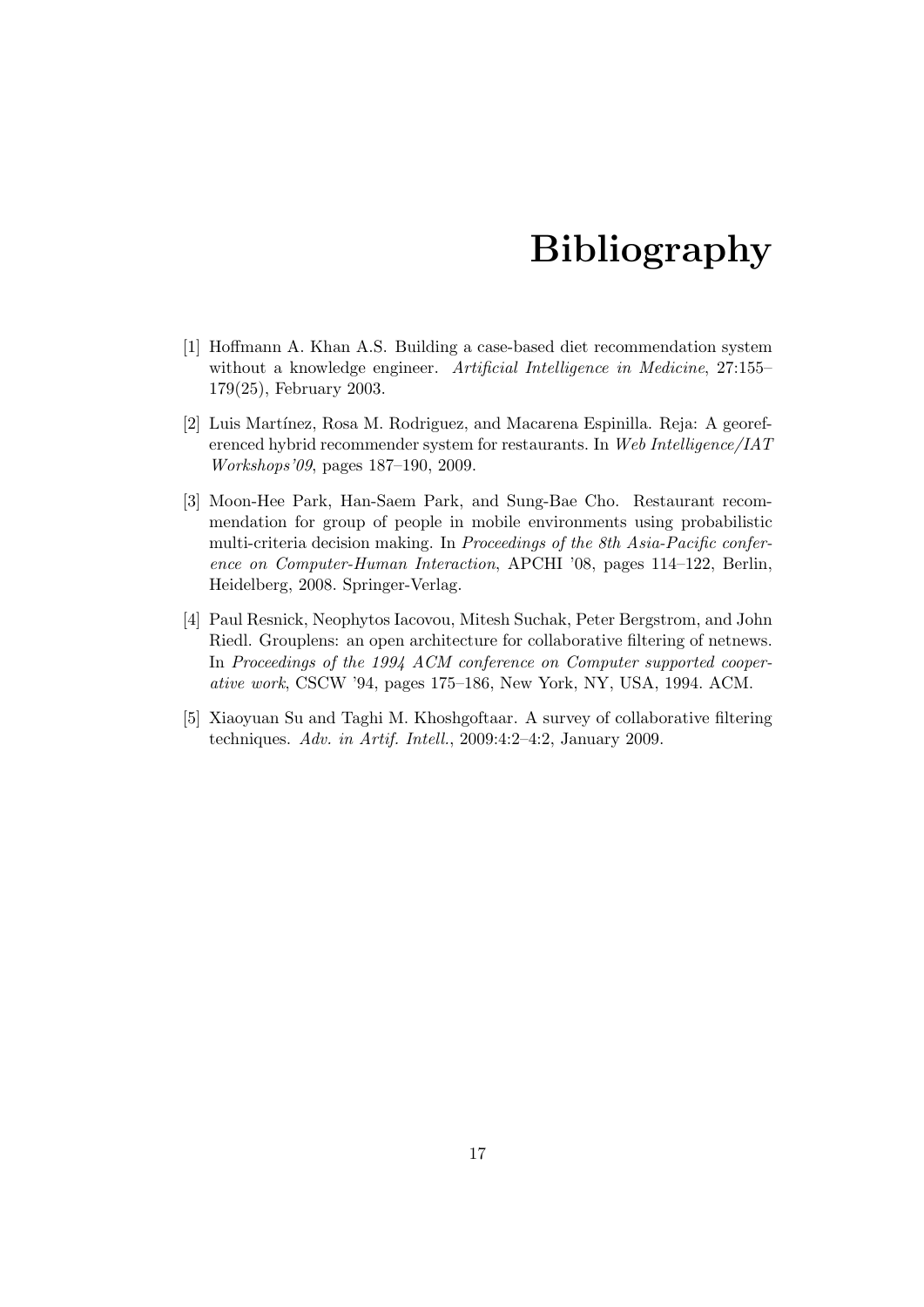## Bibliography

- <span id="page-20-4"></span><span id="page-20-0"></span>[1] Hoffmann A. Khan A.S. Building a case-based diet recommendation system without a knowledge engineer. Artificial Intelligence in Medicine, 27:155– 179(25), February 2003.
- <span id="page-20-2"></span>[2] Luis Martínez, Rosa M. Rodriguez, and Macarena Espinilla. Reja: A georeferenced hybrid recommender system for restaurants. In Web Intelligence/IAT Workshops'09, pages 187–190, 2009.
- <span id="page-20-3"></span>[3] Moon-Hee Park, Han-Saem Park, and Sung-Bae Cho. Restaurant recommendation for group of people in mobile environments using probabilistic multi-criteria decision making. In Proceedings of the 8th Asia-Pacific conference on Computer-Human Interaction, APCHI '08, pages 114–122, Berlin, Heidelberg, 2008. Springer-Verlag.
- <span id="page-20-1"></span>[4] Paul Resnick, Neophytos Iacovou, Mitesh Suchak, Peter Bergstrom, and John Riedl. Grouplens: an open architecture for collaborative filtering of netnews. In Proceedings of the 1994 ACM conference on Computer supported cooperative work, CSCW '94, pages 175–186, New York, NY, USA, 1994. ACM.
- <span id="page-20-5"></span>[5] Xiaoyuan Su and Taghi M. Khoshgoftaar. A survey of collaborative filtering techniques. Adv. in Artif. Intell., 2009:4:2–4:2, January 2009.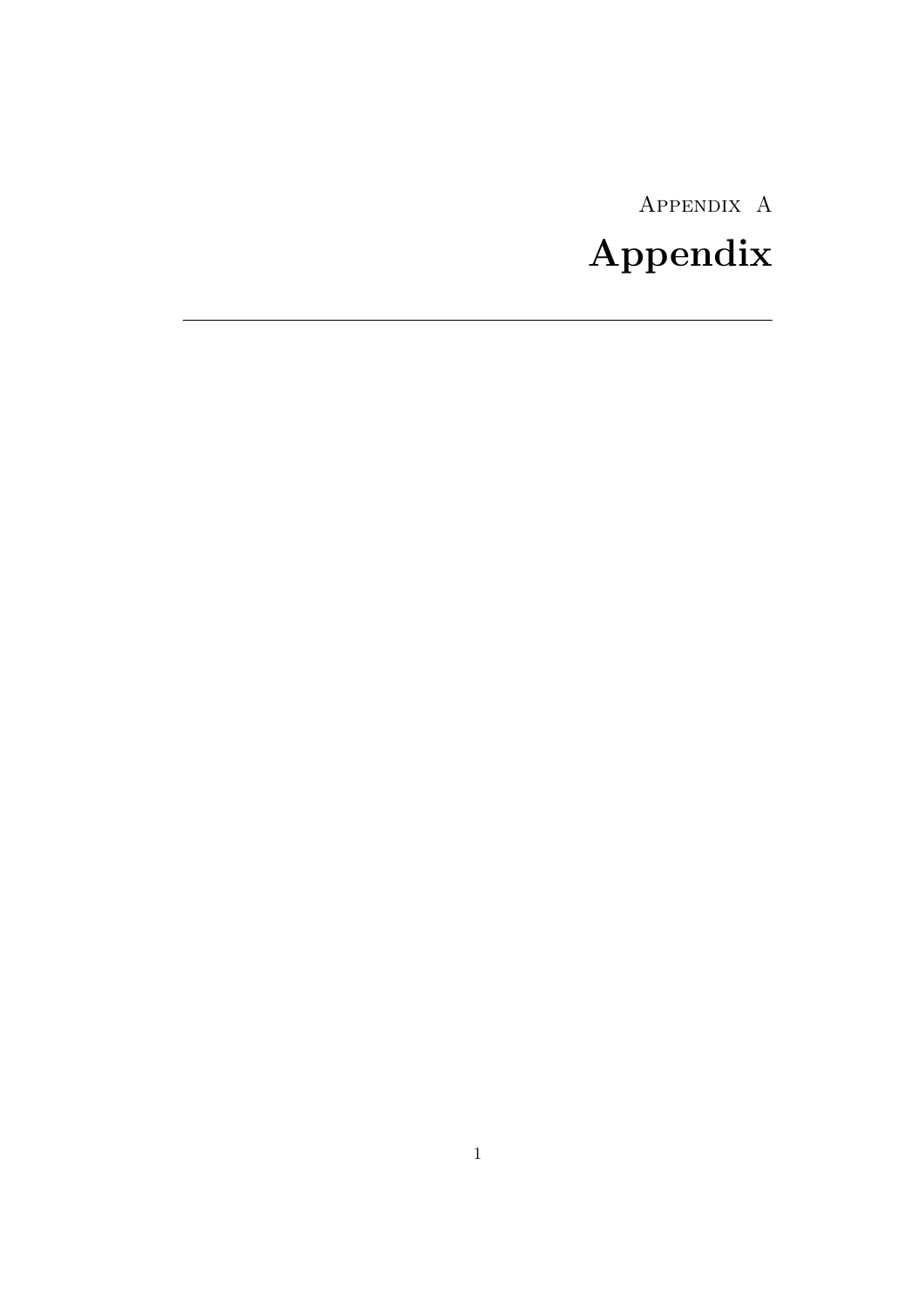<span id="page-21-0"></span>Appendix A Appendix